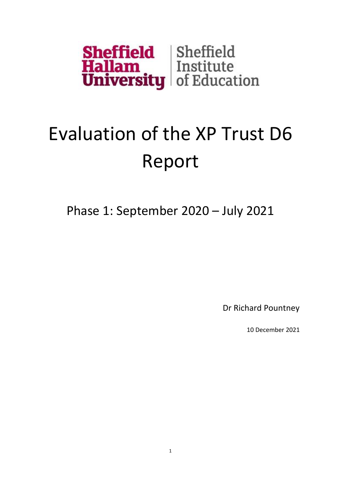

## Evaluation of the XP Trust D6 Report

Phase 1: September 2020 – July 2021

Dr Richard Pountney

10 December 2021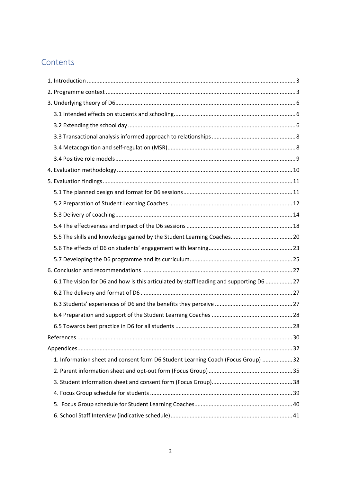## **Contents**

| 6.1 The vision for D6 and how is this articulated by staff leading and supporting D6  27 |  |
|------------------------------------------------------------------------------------------|--|
|                                                                                          |  |
|                                                                                          |  |
|                                                                                          |  |
|                                                                                          |  |
|                                                                                          |  |
|                                                                                          |  |
| 1. Information sheet and consent form D6 Student Learning Coach (Focus Group) 32         |  |
|                                                                                          |  |
|                                                                                          |  |
|                                                                                          |  |
|                                                                                          |  |
|                                                                                          |  |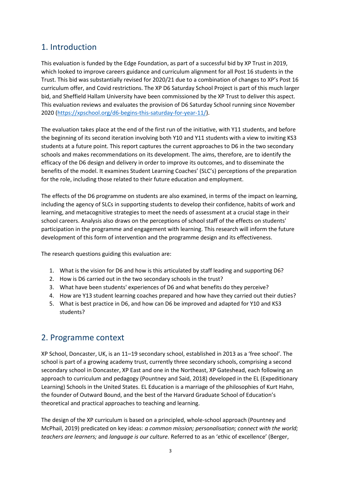## <span id="page-2-0"></span>1. Introduction

This evaluation is funded by the Edge Foundation, as part of a successful bid by XP Trust in 2019, which looked to improve careers guidance and curriculum alignment for all Post 16 students in the Trust. This bid was substantially revised for 2020/21 due to a combination of changes to XP's Post 16 curriculum offer, and Covid restrictions. The XP D6 Saturday School Project is part of this much larger bid, and Sheffield Hallam University have been commissioned by the XP Trust to deliver this aspect. This evaluation reviews and evaluates the provision of D6 Saturday School running since November 2020 [\(https://xpschool.org/d6-begins-this-saturday-for-year-11/\)](https://xpschool.org/d6-begins-this-saturday-for-year-11/).

The evaluation takes place at the end of the first run of the initiative, with Y11 students, and before the beginning of its second iteration involving both Y10 and Y11 students with a view to inviting KS3 students at a future point. This report captures the current approaches to D6 in the two secondary schools and makes recommendations on its development. The aims, therefore, are to identify the efficacy of the D6 design and delivery in order to improve its outcomes, and to disseminate the benefits of the model. It examines Student Learning Coaches' (SLC's) perceptions of the preparation for the role, including those related to their future education and employment.

The effects of the D6 programme on students are also examined, in terms of the impact on learning, including the agency of SLCs in supporting students to develop their confidence, habits of work and learning, and metacognitive strategies to meet the needs of assessment at a crucial stage in their school careers. Analysis also draws on the perceptions of school staff of the effects on students' participation in the programme and engagement with learning. This research will inform the future development of this form of intervention and the programme design and its effectiveness.

The research questions guiding this evaluation are:

- 1. What is the vision for D6 and how is this articulated by staff leading and supporting D6?
- 2. How is D6 carried out in the two secondary schools in the trust?
- 3. What have been students' experiences of D6 and what benefits do they perceive?
- 4. How are Y13 student learning coaches prepared and how have they carried out their duties?
- 5. What is best practice in D6, and how can D6 be improved and adapted for Y10 and KS3 students?

### <span id="page-2-1"></span>2. Programme context

XP School, Doncaster, UK, is an 11–19 secondary school, established in 2013 as a 'free school'. The school is part of a growing academy trust, currently three secondary schools, comprising a second secondary school in Doncaster, XP East and one in the Northeast, XP Gateshead, each following an approach to curriculum and pedagogy (Pountney and Said, 2018) developed in the EL (Expeditionary Learning) Schools in the United States. EL Education is a marriage of the philosophies of Kurt Hahn, the founder of Outward Bound, and the best of the Harvard Graduate School of Education's theoretical and practical approaches to teaching and learning.

The design of the XP curriculum is based on a principled, whole-school approach (Pountney and McPhail, 2019) predicated on key ideas: *a common mission; personalisation; connect with the world; teachers are learners;* and *language is our culture*. Referred to as an 'ethic of excellence' (Berger,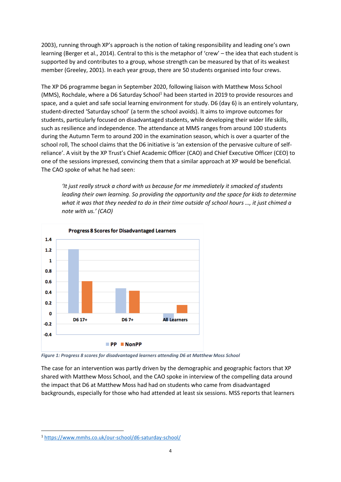2003), running through XP's approach is the notion of taking responsibility and leading one's own learning (Berger et al., 2014). Central to this is the metaphor of 'crew' – the idea that each student is supported by and contributes to a group, whose strength can be measured by that of its weakest member (Greeley, 2001). In each year group, there are 50 students organised into four crews.

The XP D6 programme began in September 2020, following liaison with Matthew Moss School (MMS), Rochdale, where a D6 Saturday School<sup>1</sup> had been started in 2019 to provide resources and space, and a quiet and safe social learning environment for study. D6 (day 6) is an entirely voluntary, student-directed 'Saturday school' (a term the school avoids). It aims to improve outcomes for students, particularly focused on disadvantaged students, while developing their wider life skills, such as resilience and independence. The attendance at MMS ranges from around 100 students during the Autumn Term to around 200 in the examination season, which is over a quarter of the school roll, The school claims that the D6 initiative is 'an extension of the pervasive culture of selfreliance'. A visit by the XP Trust's Chief Academic Officer (CAO) and Chief Executive Officer (CEO) to one of the sessions impressed, convincing them that a similar approach at XP would be beneficial. The CAO spoke of what he had seen:

*'It just really struck a chord with us because for me immediately it smacked of students leading their own learning. So providing the opportunity and the space for kids to determine what it was that they needed to do in their time outside of school hours …, it just chimed a note with us.' (CAO)*



<span id="page-3-0"></span>*Figure 1: Progress 8 scores for disadvantaged learners attending D6 at Matthew Moss School*

The case for an intervention was partly driven by the demographic and geographic factors that XP shared with Matthew Moss School, and the CAO spoke in interview of the compelling data around the impact that D6 at Matthew Moss had had on students who came from disadvantaged backgrounds, especially for those who had attended at least six sessions. MSS reports that learners

<sup>1</sup> <https://www.mmhs.co.uk/our-school/d6-saturday-school/>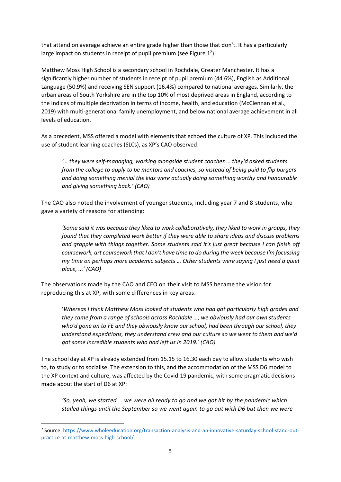that attend on average achieve an entire grade higher than those that don't. It has a particularly large impact on students in receipt of pupil premium (see Figure  $1^2$ )

Matthew Moss High School is a secondary school in Rochdale, Greater Manchester. It has a significantly higher number of students in receipt of pupil premium (44.6%), English as Additional Language (50.9%) and receiving SEN support (16.4%) compared to national averages. Similarly, the urban areas of South Yorkshire are in the top 10% of most deprived areas in England, according to the indices of multiple deprivation in terms of income, health, and education (McClennan et al., 2019) with multi-generational family unemployment, and below national average achievement in all levels of education.

As a precedent, MSS offered a model with elements that echoed the culture of XP. This included the use of student learning coaches (SLCs), as XP's CAO observed:

*'… they were self-managing, working alongside student coaches … they'd asked students from the college to apply to be mentors and coaches, so instead of being paid to flip burgers and doing something menial the kids were actually doing something worthy and honourable and giving something back.' (CAO)*

The CAO also noted the involvement of younger students, including year 7 and 8 students, who gave a variety of reasons for attending:

*'Some said it was because they liked to work collaboratively, they liked to work in groups, they found that they completed work better if they were able to share ideas and discuss problems and grapple with things together. Some students said it's just great because I can finish off coursework, art coursework that I don't have time to do during the week because I'm focussing my time on perhaps more academic subjects … Other students were saying I just need a quiet place, ...' (CAO)*

The observations made by the CAO and CEO on their visit to MSS became the vision for reproducing this at XP, with some differences in key areas:

'*Whereas I think Matthew Moss looked at students who had got particularly high grades and they came from a range of schools across Rochdale …, we obviously had our own students who'd gone on to FE and they obviously know our school, had been through our school, they understand expeditions, they understand crew and our culture so we went to them and we'd got some incredible students who had left us in 2019.' (CAO)*

The school day at XP is already extended from 15.15 to 16.30 each day to allow students who wish to, to study or to socialise. The extension to this, and the accommodation of the MSS D6 model to the XP context and culture, was affected by the Covid-19 pandemic, with some pragmatic decisions made about the start of D6 at XP:

*'So, yeah, we started … we were all ready to go and we got hit by the pandemic which stalled things until the September so we went again to go out with D6 but then we were* 

<sup>&</sup>lt;sup>2</sup> Source: [https://www.wholeeducation.org/transaction-analysis-and-an-innovative-saturday-school-stand-out](https://www.wholeeducation.org/transaction-analysis-and-an-innovative-saturday-school-stand-out-practice-at-matthew-moss-high-school/)[practice-at-matthew-moss-high-school/](https://www.wholeeducation.org/transaction-analysis-and-an-innovative-saturday-school-stand-out-practice-at-matthew-moss-high-school/)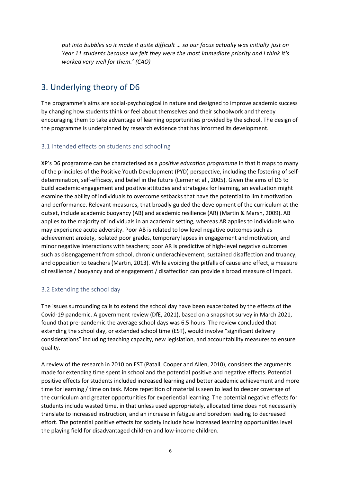*put into bubbles so it made it quite difficult … so our focus actually was initially just on Year 11 students because we felt they were the most immediate priority and I think it's worked very well for them.' (CAO)*

## <span id="page-5-0"></span>3. Underlying theory of D6

The programme's aims are social-psychological in nature and designed to improve academic success by changing how students think or feel about themselves and their schoolwork and thereby encouraging them to take advantage of learning opportunities provided by the school. The design of the programme is underpinned by research evidence that has informed its development.

#### <span id="page-5-1"></span>3.1 Intended effects on students and schooling

XP's D6 programme can be characterised as a *positive education programme* in that it maps to many of the principles of the Positive Youth Development (PYD) perspective, including the fostering of selfdetermination, self-efficacy, and belief in the future (Lerner et al., 2005). Given the aims of D6 to build academic engagement and positive attitudes and strategies for learning, an evaluation might examine the ability of individuals to overcome setbacks that have the potential to limit motivation and performance. Relevant measures, that broadly guided the development of the curriculum at the outset, include academic buoyancy (AB) and academic resilience (AR) (Martin & Marsh, 2009). AB applies to the majority of individuals in an academic setting, whereas AR applies to individuals who may experience acute adversity. Poor AB is related to low level negative outcomes such as achievement anxiety, isolated poor grades, temporary lapses in engagement and motivation, and minor negative interactions with teachers; poor AR is predictive of high-level negative outcomes such as disengagement from school, chronic underachievement, sustained disaffection and truancy, and opposition to teachers (Martin, 2013). While avoiding the pitfalls of cause and effect, a measure of resilience / buoyancy and of engagement / disaffection can provide a broad measure of impact.

#### <span id="page-5-2"></span>3.2 Extending the school day

The issues surrounding calls to extend the school day have been exacerbated by the effects of the Covid-19 pandemic. A government review (DfE, 2021), based on a snapshot survey in March 2021, found that pre-pandemic the average school days was 6.5 hours. The review concluded that extending the school day, or extended school time (EST), would involve "significant delivery considerations" including teaching capacity, new legislation, and accountability measures to ensure quality.

A review of the research in 2010 on EST (Patall, Cooper and Allen, 2010), considers the arguments made for extending time spent in school and the potential positive and negative effects. Potential positive effects for students included increased learning and better academic achievement and more time for learning / time on task. More repetition of material is seen to lead to deeper coverage of the curriculum and greater opportunities for experiential learning. The potential negative effects for students include wasted time, in that unless used appropriately, allocated time does not necessarily translate to increased instruction, and an increase in fatigue and boredom leading to decreased effort. The potential positive effects for society include how increased learning opportunities level the playing field for disadvantaged children and low-income children.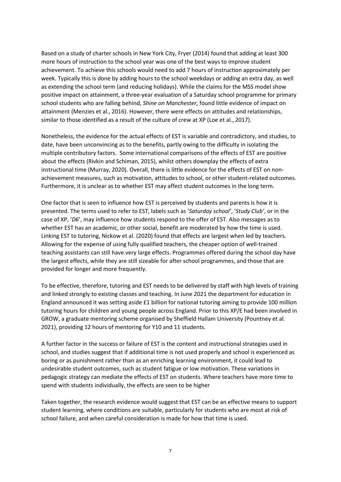Based on a study of charter schools in New York City, Fryer (2014) found that adding at least 300 more hours of instruction to the school year was one of the best ways to improve student achievement. To achieve this schools would need to add 7 hours of instruction approximately per week. Typically this is done by adding hours to the school weekdays or adding an extra day, as well as extending the school term (and reducing holidays). While the claims for the MSS model show positive impact on attainment, a three-year evaluation of a Saturday school programme for primary school students who are falling behind, *Shine on Manchester,* found little evidence of impact on attainment (Menzies et al., 2016). However, there were effects on attitudes and relationships, similar to those identified as a result of the culture of crew at XP (Loe et al., 2017).

Nonetheless, the evidence for the actual effects of EST is variable and contradictory, and studies, to date, have been unconvincing as to the benefits, partly owing to the difficulty in isolating the multiple contributory factors. Some international comparisons of the effects of EST are positive about the effects (Rivkin and Schiman, 2015), whilst others downplay the effects of extra instructional time (Murray, 2020). Overall, there is little evidence for the effects of EST on nonachievement measures, such as motivation, attitudes to school, or other student-related outcomes. Furthermore, it is unclear as to whether EST may affect student outcomes in the long term.

One factor that is seen to influence how EST is perceived by students and parents is how it is presented. The terms used to refer to EST, labels such as '*Saturday school'*, '*Study Club'*, or in the case of XP, '*D6*', may influence how students respond to the offer of EST. Also messages as to whether EST has an academic, or other social, benefit are moderated by how the time is used. Linking EST to tutoring, Nickow et al. (2020) found that effects are largest when led by teachers. Allowing for the expense of using fully qualified teachers, the cheaper option of well-trained teaching assistants can still have very large effects. Programmes offered during the school day have the largest effects, while they are still sizeable for after school programmes, and those that are provided for longer and more frequently.

To be effective, therefore, tutoring and EST needs to be delivered by staff with high levels of training and linked strongly to existing classes and teaching. In June 2021 the department for education in England announced it was setting aside £1 billion for national tutoring aiming to provide 100 million tutoring hours for children and young people across England. Prior to this XP/E had been involved in GROW, a graduate mentoring scheme organised by Sheffield Hallam University (Pountney et al. 2021), providing 12 hours of mentoring for Y10 and 11 students.

A further factor in the success or failure of EST is the content and instructional strategies used in school, and studies suggest that if additional time is not used properly and school is experienced as boring or as punishment rather than as an enriching learning environment, it could lead to undesirable student outcomes, such as student fatigue or low motivation. These variations in pedagogic strategy can mediate the effects of EST on students. Where teachers have more time to spend with students individually, the effects are seen to be higher

Taken together, the research evidence would suggest that EST can be an effective means to support student learning, where conditions are suitable, particularly for students who are most at risk of school failure, and when careful consideration is made for how that time is used.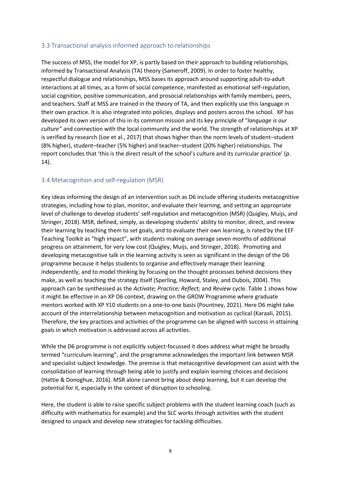#### <span id="page-7-0"></span>3.3 Transactional analysis informed approach to relationships

The success of MSS, the model for XP, is partly based on their approach to building relationships, informed by Transactional Analysis (TA) theory (Sameroff, 2009). In order to foster healthy, respectful dialogue and relationships, MSS bases its approach around supporting adult-to-adult interactions at all times, as a form of social competence, manifested as emotional self-regulation, social cognition, positive communication, and prosocial relationships with family members, peers, and teachers. Staff at MSS are trained in the theory of TA, and then explicitly use this language in their own practice. It is also integrated into policies, displays and posters across the school. XP has developed its own version of this in its common mission and its key principle of "*language is our culture"* and connection with the local community and the world. The strength of relationships at XP is verified by research (Loe et al., 2017) that shows higher than the norm levels of student–student (8% higher), student–teacher (5% higher) and teacher–student (20% higher) relationships. The report concludes that 'this is the direct result of the school's culture and its curricular practice' (p. 14).

#### <span id="page-7-1"></span>3.4 Metacognition and self-regulation (MSR)

Key ideas informing the design of an intervention such as D6 include offering students metacognitive strategies, including how to plan, monitor, and evaluate their learning, and setting an appropriate level of challenge to develop students' self-regulation and metacognition (MSR) (Quigley, Muijs, and Stringer, 2018). MSR, defined, simply, as developing students' ability to monitor, direct, and review their learning by teaching them to set goals, and to evaluate their own learning, is rated by the EEF Teaching Toolkit as "high impact", with students making on average seven months of additional progress on attainment, for very low cost (Quigley, Muijs, and Stringer, 2018). Promoting and developing metacognitive talk in the learning activity is seen as significant in the design of the D6 programme because it helps students to organise and effectively manage their learning independently, and to model thinking by focusing on the thought processes behind decisions they make, as well as teaching the strategy itself (Sperling, Howard, Staley, and Dubois, 2004). This approach can be synthesised as the *Activate; Practice; Reflect;* and *Review* cycle. [Table 1](#page-8-1) shows how it might be effective in an XP D6 context, drawing on the GROW Programme where graduate mentors worked with XP Y10 students on a one-to-one basis (Pountney, 2021). Here D6 might take account of the interrelationship between metacognition and motivation as cyclical (Karaali, 2015). Therefore, the key practices and activities of the programme can be aligned with success in attaining goals in which motivation is addressed across all activities.

While the D6 programme is not explicitly subject-focussed it does address what might be broadly termed "curriculum learning", and the programme acknowledges the important link between MSR and specialist subject knowledge. The premise is that metacognitive development can assist with the consolidation of learning through being able to justify and explain learning choices and decisions (Hattie & Donoghue, 2016). MSR alone cannot bring about deep learning, but it can develop the potential for it, especially in the context of disruption to schooling.

Here, the student is able to raise specific subject problems with the student learning coach (such as difficulty with mathematics for example) and the SLC works through activities with the student designed to unpack and develop new strategies for tackling difficulties.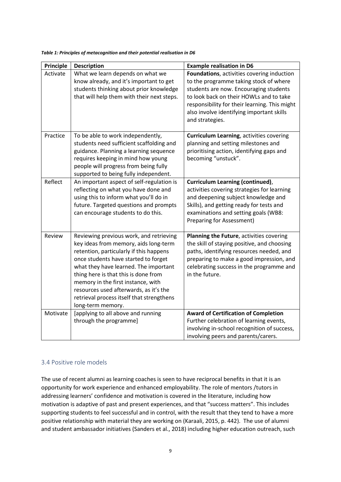| <b>Principle</b> | <b>Description</b>                                                                                                                                                                                                                                                                                                                                                                                     | <b>Example realisation in D6</b>                                                                                                                                                                                                                                                           |
|------------------|--------------------------------------------------------------------------------------------------------------------------------------------------------------------------------------------------------------------------------------------------------------------------------------------------------------------------------------------------------------------------------------------------------|--------------------------------------------------------------------------------------------------------------------------------------------------------------------------------------------------------------------------------------------------------------------------------------------|
| Activate         | What we learn depends on what we<br>know already, and it's important to get<br>students thinking about prior knowledge<br>that will help them with their next steps.                                                                                                                                                                                                                                   | Foundations, activities covering induction<br>to the programme taking stock of where<br>students are now. Encouraging students<br>to look back on their HOWLs and to take<br>responsibility for their learning. This might<br>also involve identifying important skills<br>and strategies. |
| Practice         | To be able to work independently,<br>students need sufficient scaffolding and<br>guidance. Planning a learning sequence<br>requires keeping in mind how young<br>people will progress from being fully<br>supported to being fully independent.                                                                                                                                                        | <b>Curriculum Learning</b> , activities covering<br>planning and setting milestones and<br>prioritising action, identifying gaps and<br>becoming "unstuck".                                                                                                                                |
| Reflect          | An important aspect of self-regulation is<br>reflecting on what you have done and<br>using this to inform what you'll do in<br>future. Targeted questions and prompts<br>can encourage students to do this.                                                                                                                                                                                            | <b>Curriculum Learning (continued),</b><br>activities covering strategies for learning<br>and deepening subject knowledge and<br>Skills), and getting ready for tests and<br>examinations and setting goals (WB8:<br><b>Preparing for Assessment)</b>                                      |
| Review           | Reviewing previous work, and retrieving<br>key ideas from memory, aids long-term<br>retention, particularly if this happens<br>once students have started to forget<br>what they have learned. The important<br>thing here is that this is done from<br>memory in the first instance, with<br>resources used afterwards, as it's the<br>retrieval process itself that strengthens<br>long-term memory. | Planning the Future, activities covering<br>the skill of staying positive, and choosing<br>paths, identifying resources needed, and<br>preparing to make a good impression, and<br>celebrating success in the programme and<br>in the future.                                              |
| Motivate         | [applying to all above and running<br>through the programme]                                                                                                                                                                                                                                                                                                                                           | <b>Award of Certification of Completion</b><br>Further celebration of learning events,<br>involving in-school recognition of success,<br>involving peers and parents/carers.                                                                                                               |

<span id="page-8-1"></span>*Table 1: Principles of metacognition and their potential realisation in D6*

#### <span id="page-8-0"></span>3.4 Positive role models

The use of recent alumni as learning coaches is seen to have reciprocal benefits in that it is an opportunity for work experience and enhanced employability. The role of mentors /tutors in addressing learners' confidence and motivation is covered in the literature, including how motivation is adaptive of past and present experiences, and that "success matters". This includes supporting students to feel successful and in control, with the result that they tend to have a more positive relationship with material they are working on (Karaali, 2015, p. 442). The use of alumni and student ambassador initiatives (Sanders et al., 2018) including higher education outreach, such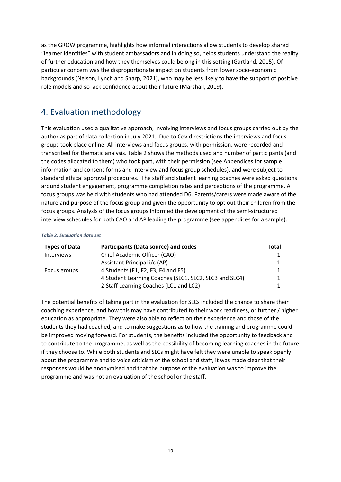as the GROW programme, highlights how informal interactions allow students to develop shared "learner identities" with student ambassadors and in doing so, helps students understand the reality of further education and how they themselves could belong in this setting (Gartland, 2015). Of particular concern was the disproportionate impact on students from lower socio-economic backgrounds (Nelson, Lynch and Sharp, 2021), who may be less likely to have the support of positive role models and so lack confidence about their future (Marshall, 2019).

## <span id="page-9-0"></span>4. Evaluation methodology

This evaluation used a qualitative approach, involving interviews and focus groups carried out by the author as part of data collection in July 2021. Due to Covid restrictions the interviews and focus groups took place online. All interviews and focus groups, with permission, were recorded and transcribed for thematic analysis. [Table 2](#page-9-1) shows the methods used and number of participants (and the codes allocated to them) who took part, with their permission (see Appendices for sample information and consent forms and interview and focus group schedules), and were subject to standard ethical approval procedures. The staff and student learning coaches were asked questions around student engagement, programme completion rates and perceptions of the programme. A focus groups was held with students who had attended D6. Parents/carers were made aware of the nature and purpose of the focus group and given the opportunity to opt out their children from the focus groups. Analysis of the focus groups informed the development of the semi-structured interview schedules for both CAO and AP leading the programme (see appendices for a sample).

#### <span id="page-9-1"></span>*Table 2: Evaluation data set*

| <b>Types of Data</b> | <b>Participants (Data source) and codes</b>            | Total |
|----------------------|--------------------------------------------------------|-------|
| Interviews           | Chief Academic Officer (CAO)                           |       |
|                      | Assistant Principal i/c (AP)                           |       |
| Focus groups         | 4 Students (F1, F2, F3, F4 and F5)                     |       |
|                      | 4 Student Learning Coaches (SLC1, SLC2, SLC3 and SLC4) |       |
|                      | 2 Staff Learning Coaches (LC1 and LC2)                 |       |

The potential benefits of taking part in the evaluation for SLCs included the chance to share their coaching experience, and how this may have contributed to their work readiness, or further / higher education as appropriate. They were also able to reflect on their experience and those of the students they had coached, and to make suggestions as to how the training and programme could be improved moving forward. For students, the benefits included the opportunity to feedback and to contribute to the programme, as well as the possibility of becoming learning coaches in the future if they choose to. While both students and SLCs might have felt they were unable to speak openly about the programme and to voice criticism of the school and staff, it was made clear that their responses would be anonymised and that the purpose of the evaluation was to improve the programme and was not an evaluation of the school or the staff.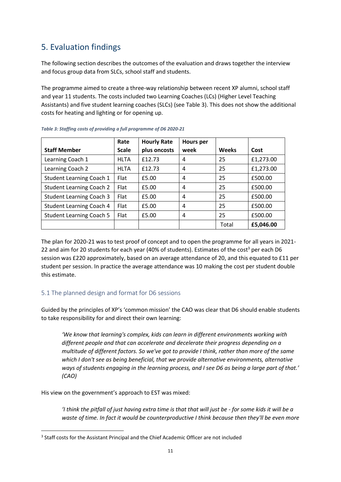## <span id="page-10-0"></span>5. Evaluation findings

The following section describes the outcomes of the evaluation and draws together the interview and focus group data from SLCs, school staff and students.

The programme aimed to create a three-way relationship between recent XP alumni, school staff and year 11 students. The costs included two Learning Coaches (LCs) (Higher Level Teaching Assistants) and five student learning coaches (SLCs) (see [Table 3\)](#page-10-2). This does not show the additional costs for heating and lighting or for opening up.

|                                 | Rate         | <b>Hourly Rate</b> | <b>Hours</b> per |              |           |
|---------------------------------|--------------|--------------------|------------------|--------------|-----------|
| <b>Staff Member</b>             | <b>Scale</b> | plus oncosts       | week             | <b>Weeks</b> | Cost      |
| Learning Coach 1                | <b>HLTA</b>  | £12.73             | 4                | 25           | £1,273.00 |
| Learning Coach 2                | <b>HLTA</b>  | £12.73             | 4                | 25           | £1,273.00 |
| <b>Student Learning Coach 1</b> | <b>Flat</b>  | £5.00              | 4                | 25           | £500.00   |
| <b>Student Learning Coach 2</b> | Flat         | £5.00              | 4                | 25           | £500.00   |
| <b>Student Learning Coach 3</b> | Flat         | £5.00              | 4                | 25           | £500.00   |
| <b>Student Learning Coach 4</b> | <b>Flat</b>  | £5.00              | 4                | 25           | £500.00   |
| <b>Student Learning Coach 5</b> | Flat         | £5.00              | 4                | 25           | £500.00   |
|                                 |              |                    |                  | Total        | £5,046.00 |

<span id="page-10-2"></span>

The plan for 2020-21 was to test proof of concept and to open the programme for all years in 2021- 22 and aim for 20 students for each year (40% of students). Estimates of the cost<sup>3</sup> per each D6 session was £220 approximately, based on an average attendance of 20, and this equated to £11 per student per session. In practice the average attendance was 10 making the cost per student double this estimate.

#### <span id="page-10-1"></span>5.1 The planned design and format for D6 sessions

Guided by the principles of XP's 'common mission' the CAO was clear that D6 should enable students to take responsibility for and direct their own learning:

*'We know that learning's complex, kids can learn in different environments working with different people and that can accelerate and decelerate their progress depending on a multitude of different factors. So we've got to provide I think, rather than more of the same which I don't see as being beneficial, that we provide alternative environments, alternative ways of students engaging in the learning process, and I see D6 as being a large part of that.' (CAO)*

His view on the government's approach to EST was mixed:

*'I think the pitfall of just having extra time is that that will just be - for some kids it will be a waste of time. In fact it would be counterproductive I think because then they'll be even more* 

<sup>&</sup>lt;sup>3</sup> Staff costs for the Assistant Principal and the Chief Academic Officer are not included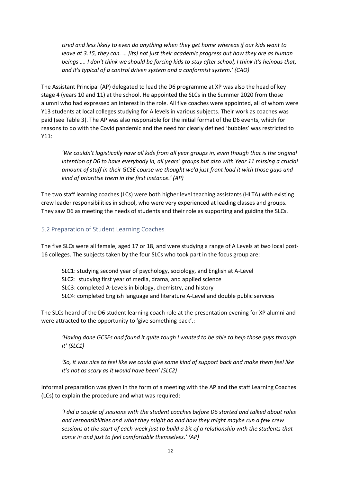*tired and less likely to even do anything when they get home whereas if our kids want to leave at 3.15, they can. … [its] not just their academic progress but how they are as human beings …. I don't think we should be forcing kids to stay after school, I think it's heinous that, and it's typical of a control driven system and a conformist system.' (CAO)*

The Assistant Principal (AP) delegated to lead the D6 programme at XP was also the head of key stage 4 (years 10 and 11) at the school. He appointed the SLCs in the Summer 2020 from those alumni who had expressed an interest in the role. All five coaches were appointed, all of whom were Y13 students at local colleges studying for A levels in various subjects. Their work as coaches was paid (see [Table 3\)](#page-10-2). The AP was also responsible for the initial format of the D6 events, which for reasons to do with the Covid pandemic and the need for clearly defined 'bubbles' was restricted to Y11:

*'We couldn't logistically have all kids from all year groups in, even though that is the original intention of D6 to have everybody in, all years' groups but also with Year 11 missing a crucial amount of stuff in their GCSE course we thought we'd just front load it with those guys and kind of prioritise them in the first instance.' (AP)*

The two staff learning coaches (LCs) were both higher level teaching assistants (HLTA) with existing crew leader responsibilities in school, who were very experienced at leading classes and groups. They saw D6 as meeting the needs of students and their role as supporting and guiding the SLCs.

#### <span id="page-11-0"></span>5.2 Preparation of Student Learning Coaches

The five SLCs were all female, aged 17 or 18, and were studying a range of A Levels at two local post-16 colleges. The subjects taken by the four SLCs who took part in the focus group are:

- SLC1: studying second year of psychology, sociology, and English at A-Level
- SLC2: studying first year of media, drama, and applied science

SLC3: completed A-Levels in biology, chemistry, and history

SLC4: completed English language and literature A-Level and double public services

The SLCs heard of the D6 student learning coach role at the presentation evening for XP alumni and were attracted to the opportunity to 'give something back'.:

*'Having done GCSEs and found it quite tough I wanted to be able to help those guys through it' (SLC1)*

*'So, it was nice to feel like we could give some kind of support back and make them feel like it's not as scary as it would have been' (SLC2)*

Informal preparation was given in the form of a meeting with the AP and the staff Learning Coaches (LCs) to explain the procedure and what was required:

*'I did a couple of sessions with the student coaches before D6 started and talked about roles and responsibilities and what they might do and how they might maybe run a few crew sessions at the start of each week just to build a bit of a relationship with the students that come in and just to feel comfortable themselves.' (AP)*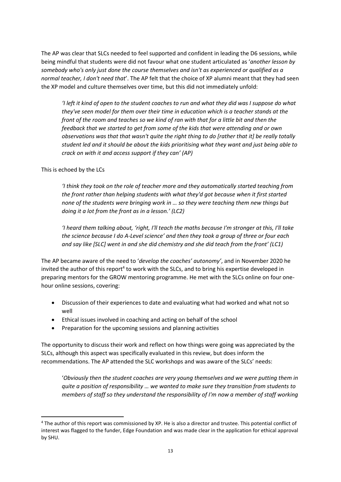The AP was clear that SLCs needed to feel supported and confident in leading the D6 sessions, while being mindful that students were did not favour what one student articulated as '*another lesson by somebody who's only just done the course themselves and isn't as experienced or qualified as a normal teacher, I don't need that*'. The AP felt that the choice of XP alumni meant that they had seen the XP model and culture themselves over time, but this did not immediately unfold:

*'I left it kind of open to the student coaches to run and what they did was I suppose do what they've seen model for them over their time in education which is a teacher stands at the front of the room and teaches so we kind of ran with that for a little bit and then the feedback that we started to get from some of the kids that were attending and or own observations was that that wasn't quite the right thing to do [rather that it] be really totally student led and it should be about the kids prioritising what they want and just being able to crack on with it and access support if they can' (AP)*

This is echoed by the LCs

*'I think they took on the role of teacher more and they automatically started teaching from the front rather than helping students with what they'd got because when it first started none of the students were bringing work in … so they were teaching them new things but doing it a lot from the front as in a lesson.' (LC2)*

*'I heard them talking about, 'right, I'll teach the maths because I'm stronger at this, I'll take the science because I do A-Level science' and then they took a group of three or four each and say like [SLC] went in and she did chemistry and she did teach from the front' (LC1)*

The AP became aware of the need to '*develop the coaches' autonomy'*, and in November 2020 he invited the author of this report<sup>4</sup> to work with the SLCs, and to bring his expertise developed in preparing mentors for the GROW mentoring programme. He met with the SLCs online on four onehour online sessions, covering:

- Discussion of their experiences to date and evaluating what had worked and what not so well
- Ethical issues involved in coaching and acting on behalf of the school
- Preparation for the upcoming sessions and planning activities

The opportunity to discuss their work and reflect on how things were going was appreciated by the SLCs, although this aspect was specifically evaluated in this review, but does inform the recommendations. The AP attended the SLC workshops and was aware of the SLCs' needs:

'*Obviously then the student coaches are very young themselves and we were putting them in quite a position of responsibility … we wanted to make sure they transition from students to members of staff so they understand the responsibility of I'm now a member of staff working* 

<sup>4</sup> The author of this report was commissioned by XP. He is also a director and trustee. This potential conflict of interest was flagged to the funder, Edge Foundation and was made clear in the application for ethical approval by SHU.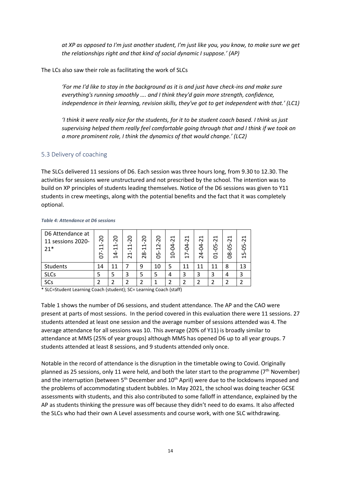*at XP as opposed to I'm just another student, I'm just like you, you know, to make sure we get the relationships right and that kind of social dynamic I suppose.' (AP)*

The LCs also saw their role as facilitating the work of SLCs

*'For me I'd like to stay in the background as it is and just have check-ins and make sure everything's running smoothly …. and I think they'd gain more strength, confidence, independence in their learning, revision skills, they've got to get independent with that.' (LC1)*

*'I think it were really nice for the students, for it to be student coach based. I think us just supervising helped them really feel comfortable going through that and I think if we took on a more prominent role, I think the dynamics of that would change.' (LC2)*

#### <span id="page-13-0"></span>5.3 Delivery of coaching

The SLCs delivered 11 sessions of D6. Each session was three hours long, from 9.30 to 12.30. The activities for sessions were unstructured and not prescribed by the school. The intention was to build on XP principles of students leading themselves. Notice of the D6 sessions was given to Y11 students in crew meetings, along with the potential benefits and the fact that it was completely optional.

| D6 Attendance at<br>11 sessions 2020-<br>$21*$ | 0<br>$\sim$<br>$\mathord{\text{--}}$<br>$\mathord{\text{--}}$<br>6 | 0<br>$\sim$<br>H<br>$\overline{\phantom{0}}$<br>4<br>Ĥ | 0<br>$\sim$<br>H<br>$\mathord{\text{--}}$<br>ᅱ<br>$\sim$ | 0<br>$\sim$<br>H<br>$\overline{\phantom{0}}$<br>$\infty$<br>$\sim$ | 0<br>$\sim$<br>$\sim$<br>H<br>LN.<br>0 | ⊣<br>$\sim$<br>Ŕ<br>J<br>$\mathbf{\mathbf{\mathbf{\mathbf{\mathsf{H}}}}}$ | ⊣<br>$\sim$<br>Ŕ<br>∼<br>H | ⊣<br>$\sim$<br>È<br>4<br>$\mathbf{\tilde{c}}$ | ⊣<br>$\sim$<br>LN,<br>0<br>ដ | ⊣<br>$\sim$<br>ഗ<br>⊂<br>$\infty$<br>Õ | ⊣<br>$\sim$<br>Ş<br>$\ddot{1}$ |
|------------------------------------------------|--------------------------------------------------------------------|--------------------------------------------------------|----------------------------------------------------------|--------------------------------------------------------------------|----------------------------------------|---------------------------------------------------------------------------|----------------------------|-----------------------------------------------|------------------------------|----------------------------------------|--------------------------------|
| Students                                       | 14                                                                 | 11                                                     |                                                          | 9                                                                  | 10                                     | 5                                                                         | 11                         | 11                                            | 11                           | 8                                      | 13                             |
| <b>SLCs</b>                                    |                                                                    |                                                        | 3                                                        |                                                                    |                                        | 4                                                                         | 3                          | 3                                             | 3                            | 4                                      |                                |
| SCs                                            |                                                                    |                                                        |                                                          |                                                                    |                                        |                                                                           |                            |                                               |                              |                                        |                                |

#### *Table 4: Attendance at D6 sessions*

\* SLC=Student Learning Coach (student); SC= Learning Coach (staff)

[Table 1](#page-8-1) shows the number of D6 sessions, and student attendance. The AP and the CAO were present at parts of most sessions. In the period covered in this evaluation there were 11 sessions. 27 students attended at least one session and the average number of sessions attended was 4. The average attendance for all sessions was 10. This average (20% of Y11) is broadly similar to attendance at MMS (25% of year groups) although MMS has opened D6 up to all year groups. 7 students attended at least 8 sessions, and 9 students attended only once.

Notable in the record of attendance is the disruption in the timetable owing to Covid. Originally planned as 25 sessions, only 11 were held, and both the later start to the programme ( $7<sup>th</sup>$  November) and the interruption (between 5<sup>th</sup> December and 10<sup>th</sup> April) were due to the lockdowns imposed and the problems of accommodating student bubbles. In May 2021, the school was doing teacher GCSE assessments with students, and this also contributed to some falloff in attendance, explained by the AP as students thinking the pressure was off because they didn't need to do exams. It also affected the SLCs who had their own A Level assessments and course work, with one SLC withdrawing.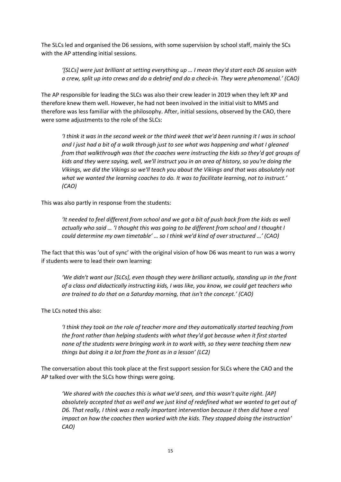The SLCs led and organised the D6 sessions, with some supervision by school staff, mainly the SCs with the AP attending initial sessions.

*'[SLCs] were just brilliant at setting everything up … I mean they'd start each D6 session with a crew, split up into crews and do a debrief and do a check-in. They were phenomenal.' (CAO)*

The AP responsible for leading the SLCs was also their crew leader in 2019 when they left XP and therefore knew them well. However, he had not been involved in the initial visit to MMS and therefore was less familiar with the philosophy. After, initial sessions, observed by the CAO, there were some adjustments to the role of the SLCs:

*'I think it was in the second week or the third week that we'd been running it I was in school and I just had a bit of a walk through just to see what was happening and what I gleaned from that walkthrough was that the coaches were instructing the kids so they'd got groups of kids and they were saying, well, we'll instruct you in an area of history, so you're doing the Vikings, we did the Vikings so we'll teach you about the Vikings and that was absolutely not what we wanted the learning coaches to do. It was to facilitate learning, not to instruct.' (CAO)*

This was also partly in response from the students:

*'It needed to feel different from school and we got a bit of push back from the kids as well actually who said … 'I thought this was going to be different from school and I thought I could determine my own timetable' … so I think we'd kind of over structured …' (CAO)*

The fact that this was 'out of sync' with the original vision of how D6 was meant to run was a worry if students were to lead their own learning:

*'We didn't want our [SLCs], even though they were brilliant actually, standing up in the front of a class and didactically instructing kids, I was like, you know, we could get teachers who are trained to do that on a Saturday morning, that isn't the concept.' (CAO)*

The LCs noted this also:

*'I think they took on the role of teacher more and they automatically started teaching from the front rather than helping students with what they'd got because when it first started none of the students were bringing work in to work with, so they were teaching them new things but doing it a lot from the front as in a lesson' (LC2)*

The conversation about this took place at the first support session for SLCs where the CAO and the AP talked over with the SLCs how things were going.

*'We shared with the coaches this is what we'd seen, and this wasn't quite right. [AP] absolutely accepted that as well and we just kind of redefined what we wanted to get out of D6. That really, I think was a really important intervention because it then did have a real impact on how the coaches then worked with the kids. They stopped doing the instruction' CAO)*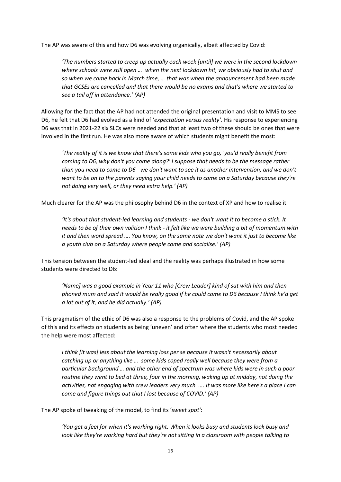The AP was aware of this and how D6 was evolving organically, albeit affected by Covid:

*'The numbers started to creep up actually each week [until] we were in the second lockdown where schools were still open … when the next lockdown hit, we obviously had to shut and so when we came back in March time, … that was when the announcement had been made that GCSEs are cancelled and that there would be no exams and that's where we started to see a tail off in attendance.' (AP)*

Allowing for the fact that the AP had not attended the original presentation and visit to MMS to see D6, he felt that D6 had evolved as a kind of '*expectation versus reality'*. His response to experiencing D6 was that in 2021-22 six SLCs were needed and that at least two of these should be ones that were involved in the first run. He was also more aware of which students might benefit the most:

*'The reality of it is we know that there's some kids who you go, 'you'd really benefit from coming to D6, why don't you come along?' I suppose that needs to be the message rather than you need to come to D6 - we don't want to see it as another intervention, and we don't want to be on to the parents saying your child needs to come on a Saturday because they're not doing very well, or they need extra help.' (AP)*

Much clearer for the AP was the philosophy behind D6 in the context of XP and how to realise it.

*'It's about that student-led learning and students - we don't want it to become a stick. It needs to be of their own volition I think - it felt like we were building a bit of momentum with it and then word spread …. You know, on the same note we don't want it just to become like a youth club on a Saturday where people come and socialise.' (AP)*

This tension between the student-led ideal and the reality was perhaps illustrated in how some students were directed to D6:

*'Name] was a good example in Year 11 who [Crew Leader] kind of sat with him and then phoned mum and said it would be really good if he could come to D6 because I think he'd get a lot out of it, and he did actually.' (AP)*

This pragmatism of the ethic of D6 was also a response to the problems of Covid, and the AP spoke of this and its effects on students as being 'uneven' and often where the students who most needed the help were most affected:

*I think [it was] less about the learning loss per se because it wasn't necessarily about catching up or anything like … some kids coped really well because they were from a particular background … and the other end of spectrum was where kids were in such a poor routine they went to bed at three, four in the morning, waking up at midday, not doing the activities, not engaging with crew leaders very much …. It was more like here's a place I can come and figure things out that I lost because of COVID.' (AP)*

The AP spoke of tweaking of the model, to find its '*sweet spot'*:

*'You get a feel for when it's working right. When it looks busy and students look busy and look like they're working hard but they're not sitting in a classroom with people talking to*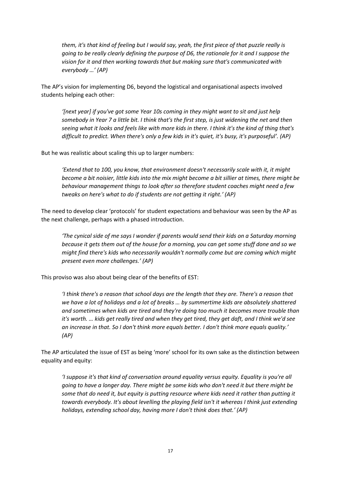*them, it's that kind of feeling but I would say, yeah, the first piece of that puzzle really is going to be really clearly defining the purpose of D6, the rationale for it and I suppose the vision for it and then working towards that but making sure that's communicated with everybody …' (AP)*

The AP's vision for implementing D6, beyond the logistical and organisational aspects involved students helping each other:

*'[next year] if you've got some Year 10s coming in they might want to sit and just help somebody in Year 7 a little bit. I think that's the first step, is just widening the net and then seeing what it looks and feels like with more kids in there. I think it's the kind of thing that's difficult to predict. When there's only a few kids in it's quiet, it's busy, it's purposeful'. (AP)*

But he was realistic about scaling this up to larger numbers:

*'Extend that to 100, you know, that environment doesn't necessarily scale with it, it might become a bit noisier, little kids into the mix might become a bit sillier at times, there might be behaviour management things to look after so therefore student coaches might need a few tweaks on here's what to do if students are not getting it right.' (AP)*

The need to develop clear 'protocols' for student expectations and behaviour was seen by the AP as the next challenge, perhaps with a phased introduction.

*'The cynical side of me says I wonder if parents would send their kids on a Saturday morning because it gets them out of the house for a morning, you can get some stuff done and so we might find there's kids who necessarily wouldn't normally come but are coming which might present even more challenges.' (AP)*

This proviso was also about being clear of the benefits of EST:

*'I think there's a reason that school days are the length that they are. There's a reason that we have a lot of holidays and a lot of breaks … by summertime kids are absolutely shattered and sometimes when kids are tired and they're doing too much it becomes more trouble than it's worth. … kids get really tired and when they get tired, they get daft, and I think we'd see an increase in that. So I don't think more equals better. I don't think more equals quality.' (AP)*

The AP articulated the issue of EST as being 'more' school for its own sake as the distinction between equality and equity:

<span id="page-16-0"></span>*'I suppose it's that kind of conversation around equality versus equity. Equality is you're all going to have a longer day. There might be some kids who don't need it but there might be some that do need it, but equity is putting resource where kids need it rather than putting it towards everybody. It's about levelling the playing field isn't it whereas I think just extending holidays, extending school day, having more I don't think does that.' (AP)*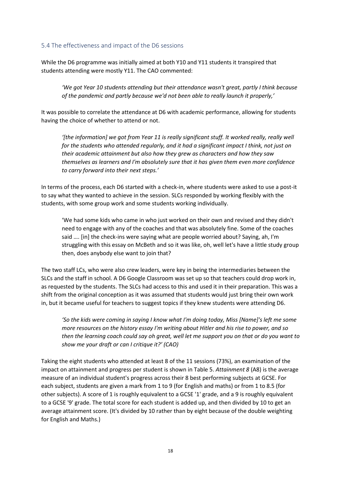#### 5.4 The effectiveness and impact of the D6 sessions

While the D6 programme was initially aimed at both Y10 and Y11 students it transpired that students attending were mostly Y11. The CAO commented:

*'We got Year 10 students attending but their attendance wasn't great, partly I think because of the pandemic and partly because we'd not been able to really launch it properly,'*

It was possible to correlate the attendance at D6 with academic performance, allowing for students having the choice of whether to attend or not.

*'[the information] we got from Year 11 is really significant stuff. It worked really, really well for the students who attended regularly, and it had a significant impact I think, not just on their academic attainment but also how they grew as characters and how they saw themselves as learners and I'm absolutely sure that it has given them even more confidence to carry forward into their next steps.'*

In terms of the process, each D6 started with a check-in, where students were asked to use a post-it to say what they wanted to achieve in the session. SLCs responded by working flexibly with the students, with some group work and some students working individually.

'We had some kids who came in who just worked on their own and revised and they didn't need to engage with any of the coaches and that was absolutely fine. Some of the coaches said …. [in] the check-ins were saying what are people worried about? Saying, ah, I'm struggling with this essay on McBeth and so it was like, oh, well let's have a little study group then, does anybody else want to join that?

The two staff LCs, who were also crew leaders, were key in being the intermediaries between the SLCs and the staff in school. A D6 Google Classroom was set up so that teachers could drop work in, as requested by the students. The SLCs had access to this and used it in their preparation. This was a shift from the original conception as it was assumed that students would just bring their own work in, but it became useful for teachers to suggest topics if they knew students were attending D6.

*'So the kids were coming in saying I know what I'm doing today, Miss [Name]'s left me some more resources on the history essay I'm writing about Hitler and his rise to power, and so then the learning coach could say oh great, well let me support you on that or do you want to show me your draft or can I critique it?' (CAO)*

Taking the eight students who attended at least 8 of the 11 sessions (73%), an examination of the impact on attainment and progress per student is shown i[n Table 5.](#page-18-0) *Attainment 8* (A8) is the average measure of an individual student's progress across their 8 best performing subjects at GCSE. For each subject, students are given a mark from 1 to 9 (for English and maths) or from 1 to 8.5 (for other subjects). A score of 1 is roughly equivalent to a GCSE '1' grade, and a 9 is roughly equivalent to a GCSE '9' grade. The total score for each student is added up, and then divided by 10 to get an average attainment score. (It's divided by 10 rather than by eight because of the double weighting for English and Maths.)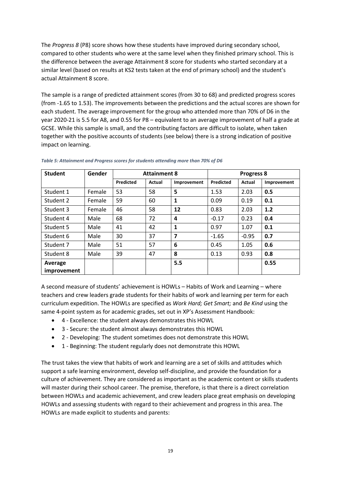The *Progress 8* (P8) score shows how these students have improved during secondary school, compared to other students who were at the same level when they finished primary school. This is the difference between the average Attainment 8 score for students who started secondary at a similar level (based on results at KS2 tests taken at the end of primary school) and the student's actual Attainment 8 score.

The sample is a range of predicted attainment scores (from 30 to 68) and predicted progress scores (from -1.65 to 1.53). The improvements between the predictions and the actual scores are shown for each student. The average improvement for the group who attended more than 70% of D6 in the year 2020-21 is 5.5 for A8, and 0.55 for P8 – equivalent to an average improvement of half a grade at GCSE. While this sample is small, and the contributing factors are difficult to isolate, when taken together with the positive accounts of students (see below) there is a strong indication of positive impact on learning.

| <b>Student</b>     | Gender | <b>Attainment 8</b> |        |                         |           | <b>Progress 8</b> |             |
|--------------------|--------|---------------------|--------|-------------------------|-----------|-------------------|-------------|
|                    |        | <b>Predicted</b>    | Actual | Improvement             | Predicted | Actual            | Improvement |
| Student 1          | Female | 53                  | 58     | 5                       | 1.53      | 2.03              | 0.5         |
| Student 2          | Female | 59                  | 60     | $\mathbf{1}$            | 0.09      | 0.19              | 0.1         |
| Student 3          | Female | 46                  | 58     | 12                      | 0.83      | 2.03              | 1.2         |
| Student 4          | Male   | 68                  | 72     | 4                       | $-0.17$   | 0.23              | 0.4         |
| Student 5          | Male   | 41                  | 42     | 1                       | 0.97      | 1.07              | 0.1         |
| Student 6          | Male   | 30                  | 37     | $\overline{\mathbf{z}}$ | $-1.65$   | $-0.95$           | 0.7         |
| Student 7          | Male   | 51                  | 57     | 6                       | 0.45      | 1.05              | 0.6         |
| Student 8          | Male   | 39                  | 47     | 8                       | 0.13      | 0.93              | 0.8         |
| Average            |        |                     |        | 5.5                     |           |                   | 0.55        |
| <i>improvement</i> |        |                     |        |                         |           |                   |             |

<span id="page-18-0"></span>*Table 5: Attainment and Progress scores for students attending more than 70% of D6*

A second measure of students' achievement is HOWLs – Habits of Work and Learning – where teachers and crew leaders grade students for their habits of work and learning per term for each curriculum expedition. The HOWLs are specified as *Work Hard; Get Smart;* and *Be Kind* using the same 4-point system as for academic grades, set out in XP's Assessment Handbook:

- 4 Excellence: the student always demonstrates this HOWL
- 3 Secure: the student almost always demonstrates this HOWL
- 2 Developing: The student sometimes does not demonstrate this HOWL
- 1 Beginning: The student regularly does not demonstrate this HOWL

The trust takes the view that habits of work and learning are a set of skills and attitudes which support a safe learning environment, develop self-discipline, and provide the foundation for a culture of achievement. They are considered as important as the academic content or skills students will master during their school career. The premise, therefore, is that there is a direct correlation between HOWLs and academic achievement, and crew leaders place great emphasis on developing HOWLs and assessing students with regard to their achievement and progress in this area. The HOWLs are made explicit to students and parents: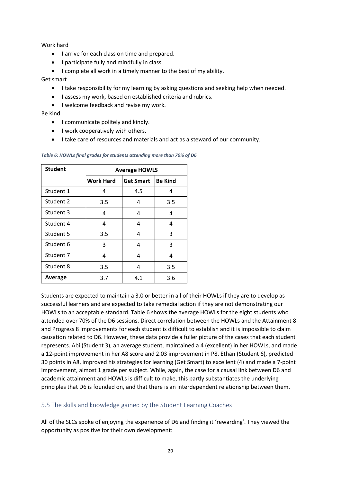Work hard

- I arrive for each class on time and prepared.
- I participate fully and mindfully in class.
- I complete all work in a timely manner to the best of my ability.

#### Get smart

- I take responsibility for my learning by asking questions and seeking help when needed.
- I assess my work, based on established criteria and rubrics.
- I welcome feedback and revise my work.

Be kind

- I communicate politely and kindly.
- I work cooperatively with others.
- I take care of resources and materials and act as a steward of our community.

| <b>Student</b> | <b>Average HOWLS</b> |                  |                |  |  |  |
|----------------|----------------------|------------------|----------------|--|--|--|
|                | <b>Work Hard</b>     | <b>Get Smart</b> | <b>Be Kind</b> |  |  |  |
| Student 1      | 4                    | 4.5              | 4              |  |  |  |
| Student 2      | 3.5                  | 4                | 3.5            |  |  |  |
| Student 3      | 4                    | 4                | 4              |  |  |  |
| Student 4      | 4                    | 4                | 4              |  |  |  |
| Student 5      | 3.5                  | 4                | 3              |  |  |  |
| Student 6      | 3                    | 4                | 3              |  |  |  |
| Student 7      | 4                    | 4                | 4              |  |  |  |
| Student 8      | 3.5                  | 4                | 3.5            |  |  |  |
| Average        | 3.7                  | 4.1              | 3.6            |  |  |  |

<span id="page-19-1"></span>*Table 6: HOWLs final grades for students attending more than 70% of D6*

Students are expected to maintain a 3.0 or better in all of their HOWLs if they are to develop as successful learners and are expected to take remedial action if they are not demonstrating our HOWLs to an acceptable standard. [Table 6](#page-19-1) shows the average HOWLs for the eight students who attended over 70% of the D6 sessions. Direct correlation between the HOWLs and the Attainment 8 and Progress 8 improvements for each student is difficult to establish and it is impossible to claim causation related to D6. However, these data provide a fuller picture of the cases that each student represents. Abi (Student 3), an average student, maintained a 4 (excellent) in her HOWLs, and made a 12-point improvement in her A8 score and 2.03 improvement in P8. Ethan (Student 6), predicted 30 points in A8, improved his strategies for learning (Get Smart) to excellent (4) and made a 7-point improvement, almost 1 grade per subject. While, again, the case for a causal link between D6 and academic attainment and HOWLs is difficult to make, this partly substantiates the underlying principles that D6 is founded on, and that there is an interdependent relationship between them.

#### <span id="page-19-0"></span>5.5 The skills and knowledge gained by the Student Learning Coaches

All of the SLCs spoke of enjoying the experience of D6 and finding it 'rewarding'. They viewed the opportunity as positive for their own development: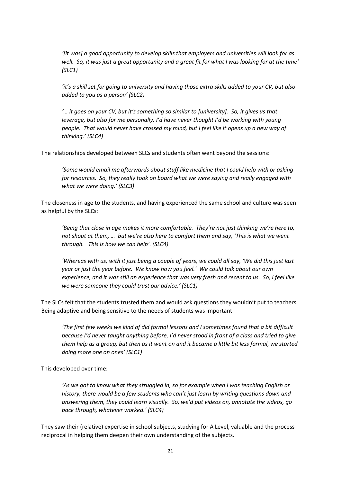*'[it was] a good opportunity to develop skills that employers and universities will look for as well. So, it was just a great opportunity and a great fit for what I was looking for at the time' (SLC1)*

*'it's a skill set for going to university and having those extra skills added to your CV, but also added to you as a person' (SLC2)*

'... it goes on your CV, but it's something so similar to [university]. So, it gives us that *leverage, but also for me personally, I'd have never thought I'd be working with young people. That would never have crossed my mind, but I feel like it opens up a new way of thinking.' (SLC4)*

The relationships developed between SLCs and students often went beyond the sessions:

*'Some would email me afterwards about stuff like medicine that I could help with or asking for resources. So, they really took on board what we were saying and really engaged with what we were doing.' (SLC3)*

The closeness in age to the students, and having experienced the same school and culture was seen as helpful by the SLCs:

*'Being that close in age makes it more comfortable. They're not just thinking we're here to, not shout at them, … but we're also here to comfort them and say, 'This is what we went through. This is how we can help'. (SLC4)*

*'Whereas with us, with it just being a couple of years, we could all say, 'We did this just last year or just the year before. We know how you feel.' We could talk about our own experience, and it was still an experience that was very fresh and recent to us. So, I feel like we were someone they could trust our advice.' (SLC1)*

The SLCs felt that the students trusted them and would ask questions they wouldn't put to teachers. Being adaptive and being sensitive to the needs of students was important:

*'The first few weeks we kind of did formal lessons and I sometimes found that a bit difficult because I'd never taught anything before, I'd never stood in front of a class and tried to give them help as a group, but then as it went on and it became a little bit less formal, we started doing more one on ones' (SLC1)*

This developed over time:

*'As we got to know what they struggled in, so for example when I was teaching English or history, there would be a few students who can't just learn by writing questions down and answering them, they could learn visually. So, we'd put videos on, annotate the videos, go back through, whatever worked.' (SLC4)*

They saw their (relative) expertise in school subjects, studying for A Level, valuable and the process reciprocal in helping them deepen their own understanding of the subjects.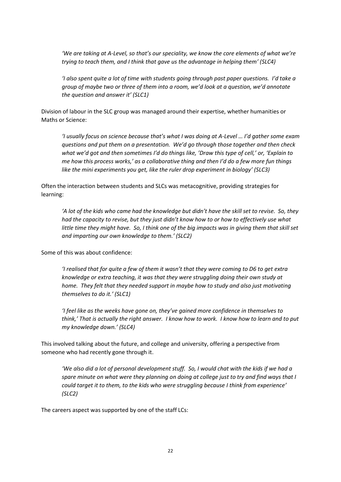*'We are taking at A-Level, so that's our speciality, we know the core elements of what we're trying to teach them, and I think that gave us the advantage in helping them' (SLC4)*

*'I also spent quite a lot of time with students going through past paper questions. I'd take a group of maybe two or three of them into a room, we'd look at a question, we'd annotate the question and answer it' (SLC1)*

Division of labour in the SLC group was managed around their expertise, whether humanities or Maths or Science:

*'I usually focus on science because that's what I was doing at A-Level … I'd gather some exam questions and put them on a presentation. We'd go through those together and then check what we'd got and then sometimes I'd do things like, 'Draw this type of cell,' or, 'Explain to me how this process works,' as a collaborative thing and then I'd do a few more fun things like the mini experiments you get, like the ruler drop experiment in biology' (SLC3)*

Often the interaction between students and SLCs was metacognitive, providing strategies for learning:

*'A lot of the kids who came had the knowledge but didn't have the skill set to revise. So, they had the capacity to revise, but they just didn't know how to or how to effectively use what little time they might have. So, I think one of the big impacts was in giving them that skill set and imparting our own knowledge to them.' (SLC2)*

Some of this was about confidence:

*'I realised that for quite a few of them it wasn't that they were coming to D6 to get extra knowledge or extra teaching, it was that they were struggling doing their own study at home. They felt that they needed support in maybe how to study and also just motivating themselves to do it.' (SLC1)*

*'I feel like as the weeks have gone on, they've gained more confidence in themselves to think,' That is actually the right answer. I know how to work. I know how to learn and to put my knowledge down.' (SLC4)*

This involved talking about the future, and college and university, offering a perspective from someone who had recently gone through it.

*'We also did a lot of personal development stuff. So, I would chat with the kids if we had a spare minute on what were they planning on doing at college just to try and find ways that I could target it to them, to the kids who were struggling because I think from experience' (SLC2)*

The careers aspect was supported by one of the staff LCs: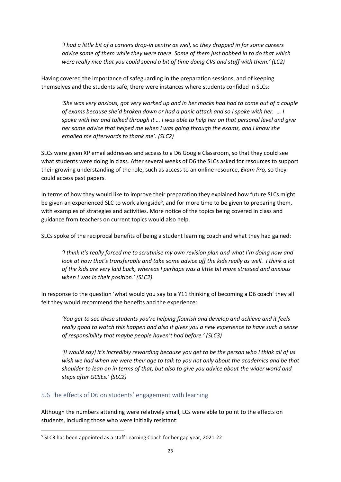*'I had a little bit of a careers drop-in centre as well, so they dropped in for some careers advice some of them while they were there. Some of them just bobbed in to do that which were really nice that you could spend a bit of time doing CVs and stuff with them.' (LC2)*

Having covered the importance of safeguarding in the preparation sessions, and of keeping themselves and the students safe, there were instances where students confided in SLCs:

*'She was very anxious, got very worked up and in her mocks had had to come out of a couple of exams because she'd broken down or had a panic attack and so I spoke with her. … I spoke with her and talked through it … I was able to help her on that personal level and give her some advice that helped me when I was going through the exams, and I know she emailed me afterwards to thank me'. (SLC2)*

SLCs were given XP email addresses and access to a D6 Google Classroom, so that they could see what students were doing in class. After several weeks of D6 the SLCs asked for resources to support their growing understanding of the role, such as access to an online resource, *Exam Pro,* so they could access past papers.

In terms of how they would like to improve their preparation they explained how future SLCs might be given an experienced SLC to work alongside<sup>5</sup>, and for more time to be given to preparing them, with examples of strategies and activities. More notice of the topics being covered in class and guidance from teachers on current topics would also help.

SLCs spoke of the reciprocal benefits of being a student learning coach and what they had gained:

*'I think it's really forced me to scrutinise my own revision plan and what I'm doing now and look at how that's transferable and take some advice off the kids really as well. I think a lot of the kids are very laid back, whereas I perhaps was a little bit more stressed and anxious when I was in their position.' (SLC2)*

In response to the question 'what would you say to a Y11 thinking of becoming a D6 coach' they all felt they would recommend the benefits and the experience:

*'You get to see these students you're helping flourish and develop and achieve and it feels really good to watch this happen and also it gives you a new experience to have such a sense of responsibility that maybe people haven't had before.' (SLC3)*

*'[I would say] it's incredibly rewarding because you get to be the person who I think all of us wish we had when we were their age to talk to you not only about the academics and be that shoulder to lean on in terms of that, but also to give you advice about the wider world and steps after GCSEs.' (SLC2)*

#### <span id="page-22-0"></span>5.6 The effects of D6 on students' engagement with learning

Although the numbers attending were relatively small, LCs were able to point to the effects on students, including those who were initially resistant:

<sup>&</sup>lt;sup>5</sup> SLC3 has been appointed as a staff Learning Coach for her gap year, 2021-22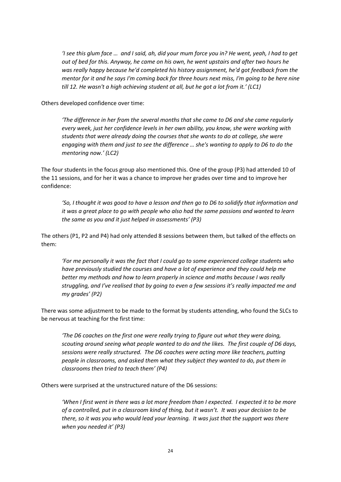*'I see this glum face … and I said, ah, did your mum force you in? He went, yeah, I had to get out of bed for this. Anyway, he came on his own, he went upstairs and after two hours he was really happy because he'd completed his history assignment, he'd got feedback from the mentor for it and he says I'm coming back for three hours next miss, I'm going to be here nine till 12. He wasn't a high achieving student at all, but he got a lot from it.' (LC1)*

Others developed confidence over time:

*'The difference in her from the several months that she came to D6 and she came regularly every week, just her confidence levels in her own ability, you know, she were working with students that were already doing the courses that she wants to do at college, she were engaging with them and just to see the difference … she's wanting to apply to D6 to do the mentoring now.' (LC2)*

The four students in the focus group also mentioned this. One of the group (P3) had attended 10 of the 11 sessions, and for her it was a chance to improve her grades over time and to improve her confidence:

*'So, I thought it was good to have a lesson and then go to D6 to solidify that information and it was a great place to go with people who also had the same passions and wanted to learn the same as you and it just helped in assessments' (P3)*

The others (P1, P2 and P4) had only attended 8 sessions between them, but talked of the effects on them:

*'For me personally it was the fact that I could go to some experienced college students who have previously studied the courses and have a lot of experience and they could help me better my methods and how to learn properly in science and maths because I was really struggling, and I've realised that by going to even a few sessions it's really impacted me and my grades' (P2)*

There was some adjustment to be made to the format by students attending, who found the SLCs to be nervous at teaching for the first time:

*'The D6 coaches on the first one were really trying to figure out what they were doing, scouting around seeing what people wanted to do and the likes. The first couple of D6 days, sessions were really structured. The D6 coaches were acting more like teachers, putting people in classrooms, and asked them what they subject they wanted to do, put them in classrooms then tried to teach them' (P4)*

Others were surprised at the unstructured nature of the D6 sessions:

*'When I first went in there was a lot more freedom than I expected. I expected it to be more of a controlled, put in a classroom kind of thing, but it wasn't. It was your decision to be there, so it was you who would lead your learning. It was just that the support was there when you needed it' (P3)*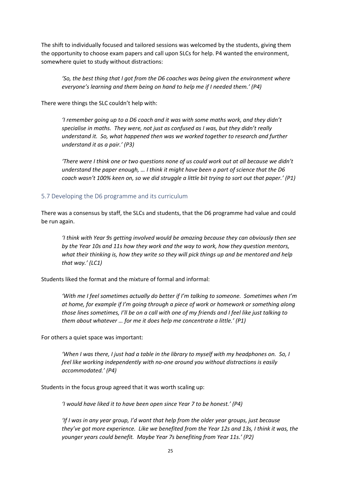The shift to individually focused and tailored sessions was welcomed by the students, giving them the opportunity to choose exam papers and call upon SLCs for help. P4 wanted the environment, somewhere quiet to study without distractions:

*'So, the best thing that I got from the D6 coaches was being given the environment where everyone's learning and them being on hand to help me if I needed them.' (P4)*

There were things the SLC couldn't help with:

*'I remember going up to a D6 coach and it was with some maths work, and they didn't specialise in maths. They were, not just as confused as I was, but they didn't really understand it. So, what happened then was we worked together to research and further understand it as a pair.' (P3)*

*'There were I think one or two questions none of us could work out at all because we didn't understand the paper enough, … I think it might have been a part of science that the D6 coach wasn't 100% keen on, so we did struggle a little bit trying to sort out that paper.' (P1)*

#### <span id="page-24-0"></span>5.7 Developing the D6 programme and its curriculum

There was a consensus by staff, the SLCs and students, that the D6 programme had value and could be run again.

*'I think with Year 9s getting involved would be amazing because they can obviously then see by the Year 10s and 11s how they work and the way to work, how they question mentors, what their thinking is, how they write so they will pick things up and be mentored and help that way.' (LC1)*

Students liked the format and the mixture of formal and informal:

*'With me I feel sometimes actually do better if I'm talking to someone. Sometimes when I'm at home, for example if I'm going through a piece of work or homework or something along those lines sometimes, I'll be on a call with one of my friends and I feel like just talking to them about whatever … for me it does help me concentrate a little.' (P1)*

For others a quiet space was important:

*'When I was there, I just had a table in the library to myself with my headphones on. So, I feel like working independently with no-one around you without distractions is easily accommodated.' (P4)*

Students in the focus group agreed that it was worth scaling up:

*'I would have liked it to have been open since Year 7 to be honest.' (P4)*

*'If I was in any year group, I'd want that help from the older year groups, just because they've got more experience. Like we benefited from the Year 12s and 13s, I think it was, the younger years could benefit. Maybe Year 7s benefiting from Year 11s.' (P2)*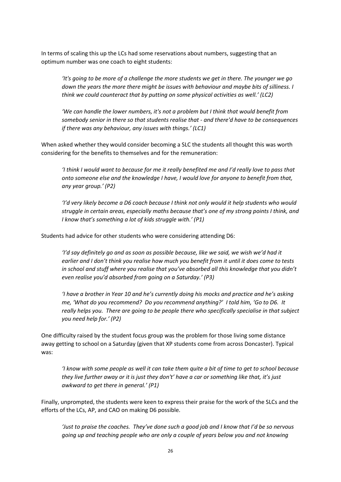In terms of scaling this up the LCs had some reservations about numbers, suggesting that an optimum number was one coach to eight students:

*'It's going to be more of a challenge the more students we get in there. The younger we go down the years the more there might be issues with behaviour and maybe bits of silliness. I think we could counteract that by putting on some physical activities as well.' (LC2)*

*'We can handle the lower numbers, it's not a problem but I think that would benefit from somebody senior in there so that students realise that - and there'd have to be consequences if there was any behaviour, any issues with things.' (LC1)*

When asked whether they would consider becoming a SLC the students all thought this was worth considering for the benefits to themselves and for the remuneration:

*'I think I would want to because for me it really benefited me and I'd really love to pass that onto someone else and the knowledge I have, I would love for anyone to benefit from that, any year group.' (P2)*

*'I'd very likely become a D6 coach because I think not only would it help students who would struggle in certain areas, especially maths because that's one of my strong points I think, and I know that's something a lot of kids struggle with.' (P1)*

Students had advice for other students who were considering attending D6:

*'I'd say definitely go and as soon as possible because, like we said, we wish we'd had it earlier and I don't think you realise how much you benefit from it until it does come to tests in school and stuff where you realise that you've absorbed all this knowledge that you didn't even realise you'd absorbed from going on a Saturday.' (P3)*

*'I have a brother in Year 10 and he's currently doing his mocks and practice and he's asking me, 'What do you recommend? Do you recommend anything?' I told him, 'Go to D6. It really helps you. There are going to be people there who specifically specialise in that subject you need help for.' (P2)*

One difficulty raised by the student focus group was the problem for those living some distance away getting to school on a Saturday (given that XP students come from across Doncaster). Typical was:

*'I know with some people as well it can take them quite a bit of time to get to school because they live further away or it is just they don't' have a car or something like that, it's just awkward to get there in general.' (P1)*

Finally, unprompted, the students were keen to express their praise for the work of the SLCs and the efforts of the LCs, AP, and CAO on making D6 possible.

*'Just to praise the coaches. They've done such a good job and I know that I'd be so nervous going up and teaching people who are only a couple of years below you and not knowing*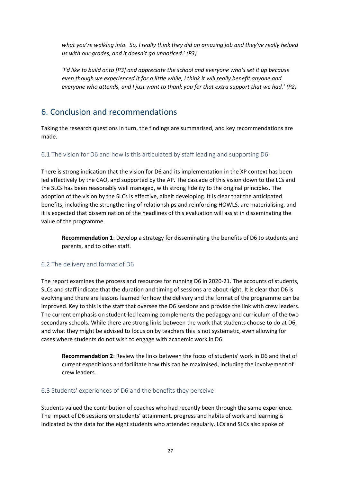what you're walking into. So, I really think they did an amazing job and they've really helped *us with our grades, and it doesn't go unnoticed.' (P3)*

*'I'd like to build onto [P3] and appreciate the school and everyone who's set it up because even though we experienced it for a little while, I think it will really benefit anyone and everyone who attends, and I just want to thank you for that extra support that we had.' (P2)*

## <span id="page-26-0"></span>6. Conclusion and recommendations

Taking the research questions in turn, the findings are summarised, and key recommendations are made.

#### <span id="page-26-1"></span>6.1 The vision for D6 and how is this articulated by staff leading and supporting D6

There is strong indication that the vision for D6 and its implementation in the XP context has been led effectively by the CAO, and supported by the AP. The cascade of this vision down to the LCs and the SLCs has been reasonably well managed, with strong fidelity to the original principles. The adoption of the vision by the SLCs is effective, albeit developing. It is clear that the anticipated benefits, including the strengthening of relationships and reinforcing HOWLS, are materialising, and it is expected that dissemination of the headlines of this evaluation will assist in disseminating the value of the programme.

**Recommendation 1**: Develop a strategy for disseminating the benefits of D6 to students and parents, and to other staff.

#### <span id="page-26-2"></span>6.2 The delivery and format of D6

The report examines the process and resources for running D6 in 2020-21. The accounts of students, SLCs and staff indicate that the duration and timing of sessions are about right. It is clear that D6 is evolving and there are lessons learned for how the delivery and the format of the programme can be improved. Key to this is the staff that oversee the D6 sessions and provide the link with crew leaders. The current emphasis on student-led learning complements the pedagogy and curriculum of the two secondary schools. While there are strong links between the work that students choose to do at D6, and what they might be advised to focus on by teachers this is not systematic, even allowing for cases where students do not wish to engage with academic work in D6.

**Recommendation 2**: Review the links between the focus of students' work in D6 and that of current expeditions and facilitate how this can be maximised, including the involvement of crew leaders.

#### <span id="page-26-3"></span>6.3 Students' experiences of D6 and the benefits they perceive

Students valued the contribution of coaches who had recently been through the same experience. The impact of D6 sessions on students' attainment, progress and habits of work and learning is indicated by the data for the eight students who attended regularly. LCs and SLCs also spoke of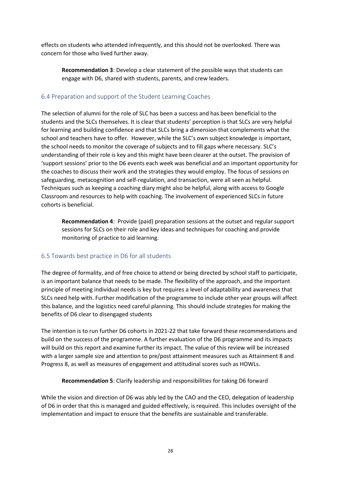effects on students who attended infrequently, and this should not be overlooked. There was concern for those who lived further away.

**Recommendation 3**: Develop a clear statement of the possible ways that students can engage with D6, shared with students, parents, and crew leaders.

#### <span id="page-27-0"></span>6.4 Preparation and support of the Student Learning Coaches

The selection of alumni for the role of SLC has been a success and has been beneficial to the students and the SLCs themselves. It is clear that students' perception is that SLCs are very helpful for learning and building confidence and that SLCs bring a dimension that complements what the school and teachers have to offer. However, while the SLC's own subject knowledge is important, the school needs to monitor the coverage of subjects and to fill gaps where necessary. SLC's understanding of their role is key and this might have been clearer at the outset. The provision of 'support sessions' prior to the D6 events each week was beneficial and an important opportunity for the coaches to discuss their work and the strategies they would employ. The focus of sessions on safeguarding, metacognition and self-regulation, and transaction, were all seen as helpful. Techniques such as keeping a coaching diary might also be helpful, along with access to Google Classroom and resources to help with coaching. The involvement of experienced SLCs in future cohorts is beneficial.

**Recommendation 4**: Provide (paid) preparation sessions at the outset and regular support sessions for SLCs on their role and key ideas and techniques for coaching and provide monitoring of practice to aid learning.

#### <span id="page-27-1"></span>6.5 Towards best practice in D6 for all students

The degree of formality, and of free choice to attend or being directed by school staff to participate, is an important balance that needs to be made. The flexibility of the approach, and the important principle of meeting individual needs is key but requires a level of adaptability and awareness that SLCs need help with. Further modification of the programme to include other year groups will affect this balance, and the logistics need careful planning. This should include strategies for making the benefits of D6 clear to disengaged students

The intention is to run further D6 cohorts in 2021-22 that take forward these recommendations and build on the success of the programme. A further evaluation of the D6 programme and its impacts will build on this report and examine further its impact. The value of this review will be increased with a larger sample size and attention to pre/post attainment measures such as Attainment 8 and Progress 8, as well as measures of engagement and attitudinal scores such as HOWLs.

#### **Recommendation 5**: Clarify leadership and responsibilities for taking D6 forward

While the vision and direction of D6 was ably led by the CAO and the CEO, delegation of leadership of D6 in order that this is managed and guided effectively, is required. This includes oversight of the implementation and impact to ensure that the benefits are sustainable and transferable.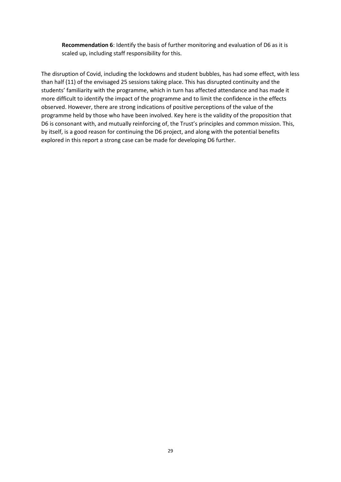**Recommendation 6**: Identify the basis of further monitoring and evaluation of D6 as it is scaled up, including staff responsibility for this.

The disruption of Covid, including the lockdowns and student bubbles, has had some effect, with less than half (11) of the envisaged 25 sessions taking place. This has disrupted continuity and the students' familiarity with the programme, which in turn has affected attendance and has made it more difficult to identify the impact of the programme and to limit the confidence in the effects observed. However, there are strong indications of positive perceptions of the value of the programme held by those who have been involved. Key here is the validity of the proposition that D6 is consonant with, and mutually reinforcing of, the Trust's principles and common mission. This, by itself, is a good reason for continuing the D6 project, and along with the potential benefits explored in this report a strong case can be made for developing D6 further.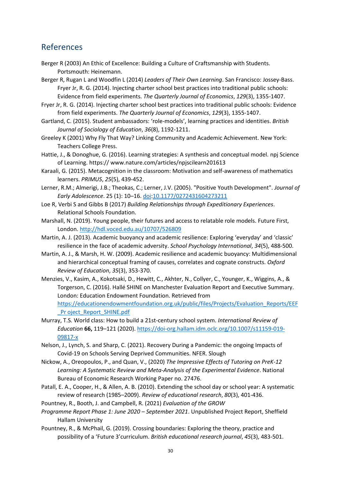## <span id="page-29-0"></span>References

- Berger R (2003) An Ethic of Excellence: Building a Culture of Craftsmanship with Students. Portsmouth: Heinemann.
- Berger R, Rugan L and Woodfin L (2014) *Leaders of Their Own Learning*. San Francisco: Jossey-Bass. Fryer Jr, R. G. (2014). Injecting charter school best practices into traditional public schools: Evidence from field experiments. *The Quarterly Journal of Economics*, *129*(3), 1355-1407.
- Fryer Jr, R. G. (2014). Injecting charter school best practices into traditional public schools: Evidence from field experiments. *The Quarterly Journal of Economics*, *129*(3), 1355-1407.
- Gartland, C. (2015). Student ambassadors: 'role-models', learning practices and identities. *British Journal of Sociology of Education*, *36*(8), 1192-1211.
- Greeley K (2001) Why Fly That Way? Linking Community and Academic Achievement. New York: Teachers College Press.
- Hattie, J., & Donoghue, G. (2016). Learning strategies: A synthesis and conceptual model. npj Science of Learning. https:// www.nature.com/articles/npjscilearn201613
- Karaali, G. (2015). Metacognition in the classroom: Motivation and self-awareness of mathematics learners. *PRIMUS*, *25*(5), 439-452.
- Lerner, R.M.; Almerigi, J.B.; Theokas, C.; Lerner, J.V. (2005). "Positive Youth Development". *Journal of Early Adolescence*. 25 (1): 10–16. [doi:](https://en.wikipedia.org/wiki/Doi_(identifier))[10.1177/0272431604273211](https://doi.org/10.1177%2F0272431604273211)
- Loe R, Verbi S and Gibbs B (2017) *Building Relationships through Expeditionary Experiences*. Relational Schools Foundation.
- Marshall, N. (2019). Young people, their futures and access to relatable role models. Future First, London.<http://hdl.voced.edu.au/10707/526809>
- Martin, A. J. (2013). Academic buoyancy and academic resilience: Exploring 'everyday' and 'classic' resilience in the face of academic adversity. *School Psychology International*, *34*(5), 488-500.
- Martin, A. J., & Marsh, H. W. (2009). Academic resilience and academic buoyancy: Multidimensional and hierarchical conceptual framing of causes, correlates and cognate constructs. *Oxford Review of Education*, *35*(3), 353-370.
- Menzies, V., Kasim, A., Kokotsaki, D., Hewitt, C., Akhter, N., Collyer, C., Younger, K., Wiggins, A., & Torgerson, C. (2016). Hallé SHINE on Manchester Evaluation Report and Executive Summary. London: Education Endowment Foundation. Retrieved from [https://educationendowmentfoundation.org.uk/public/files/Projects/Evaluation\\_Reports/EEF](https://educationendowmentfoundation.org.uk/public/files/Projects/Evaluation_Reports/EEF_Pr%20oject_Report_SHINE.pdf) Pr oject\_Report\_SHINE.pdf
- Murray, T.S. World class: How to build a 21st-century school system. *International Review of Education* **66,** 119–121 (2020). [https://doi-org.hallam.idm.oclc.org/10.1007/s11159-019-](https://doi-org.hallam.idm.oclc.org/10.1007/s11159-019-09817-x) [09817-x](https://doi-org.hallam.idm.oclc.org/10.1007/s11159-019-09817-x)
- Nelson, J., Lynch, S. and Sharp, C. (2021). Recovery During a Pandemic: the ongoing Impacts of Covid-19 on Schools Serving Deprived Communities. NFER. Slough
- Nickow, A., Oreopoulos, P., and Quan, V., (2020) *The Impressive Effects of Tutoring on PreK-12 Learning: A Systematic Review and Meta-Analysis of the Experimental Evidence*. National Bureau of Economic Research Working Paper no. 27476.
- Patall, E. A., Cooper, H., & Allen, A. B. (2010). Extending the school day or school year: A systematic review of research (1985–2009). *Review of educational research*, *80*(3), 401-436.
- Pountney, R., Booth, J. and Campbell, R. (2021) *Evaluation of the GROW*
- *Programme Report Phase 1: June 2020 – September 2021*. Unpublished Project Report, Sheffield Hallam University
- Pountney, R., & McPhail, G. (2019). Crossing boundaries: Exploring the theory, practice and possibility of a 'Future 3'curriculum. *British educational research journal*, *45*(3), 483-501.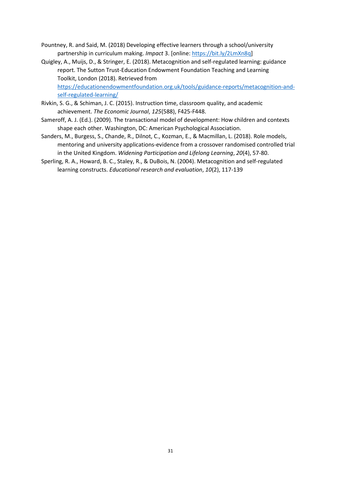- Pountney, R. and Said, M. (2018) Developing effective learners through a school/university partnership in curriculum making. *Impact* 3. [online: [https://bit.ly/2LmXn8q\]](https://bit.ly/2LmXn8q)
- Quigley, A., Muijs, D., & Stringer, E. (2018). Metacognition and self-regulated learning: guidance report. The Sutton Trust-Education Endowment Foundation Teaching and Learning Toolkit, London (2018). Retrieved from [https://educationendowmentfoundation.org.uk/tools/guidance-reports/metacognition-and](https://educationendowmentfoundation.org.uk/tools/guidance-reports/metacognition-and-self-regulated-learning/)[self-regulated-learning/](https://educationendowmentfoundation.org.uk/tools/guidance-reports/metacognition-and-self-regulated-learning/)
- Rivkin, S. G., & Schiman, J. C. (2015). Instruction time, classroom quality, and academic achievement. *The Economic Journal*, *125*(588), F425-F448.
- Sameroff, A. J. (Ed.). (2009). The transactional model of development: How children and contexts shape each other. Washington, DC: American Psychological Association.
- Sanders, M., Burgess, S., Chande, R., Dilnot, C., Kozman, E., & Macmillan, L. (2018). Role models, mentoring and university applications-evidence from a crossover randomised controlled trial in the United Kingdom. *Widening Participation and Lifelong Learning*, *20*(4), 57-80.
- Sperling, R. A., Howard, B. C., Staley, R., & DuBois, N. (2004). Metacognition and self-regulated learning constructs. *Educational research and evaluation*, *10*(2), 117-139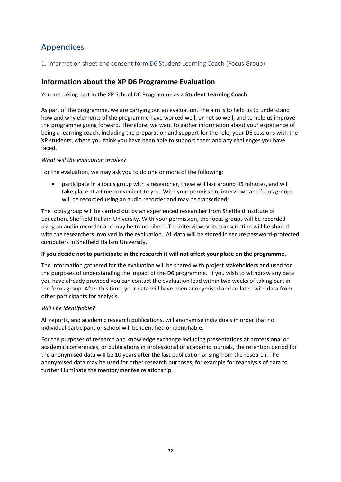## <span id="page-31-0"></span>Appendices

#### <span id="page-31-1"></span>1. Information sheet and consent form D6 Student Learning Coach (Focus Group)

#### **Information about the XP D6 Programme Evaluation**

You are taking part in the XP School D6 Programme as a **Student Learning Coach**.

As part of the programme, we are carrying out an evaluation. The aim is to help us to understand how and why elements of the programme have worked well, or not so well, and to help us improve the programme going forward. Therefore, we want to gather information about your experience of being a learning coach, including the preparation and support for the role, your D6 sessions with the XP students, where you think you have been able to support them and any challenges you have faced.

#### *What will the evaluation involve?*

For the evaluation, we may ask you to do one or more of the following:

• participate in a focus group with a researcher, these will last around 45 minutes, and will take place at a time convenient to you. With your permission, interviews and focus groups will be recorded using an audio recorder and may be transcribed;

The focus group will be carried out by an experienced researcher from Sheffield Institute of Education, Sheffield Hallam University. With your permission, the focus groups will be recorded using an audio recorder and may be transcribed. The interview or its transcription will be shared with the researchers involved in the evaluation. All data will be stored in secure password-protected computers in Sheffield Hallam University.

#### **If you decide not to participate in the research it will not affect your place on the programme**.

The information gathered for the evaluation will be shared with project stakeholders and used for the purposes of understanding the impact of the D6 programme. If you wish to withdraw any data you have already provided you can contact the evaluation lead within two weeks of taking part in the focus group. After this time, your data will have been anonymised and collated with data from other participants for analysis.

#### *Will I be identifiable?*

All reports, and academic research publications, will anonymise individuals in order that no individual participant or school will be identified or identifiable.

For the purposes of research and knowledge exchange including presentations at professional or academic conferences, or publications in professional or academic journals, the retention period for the anonymised data will be 10 years after the last publication arising from the research. The anonymised data may be used for other research purposes, for example for reanalysis of data to further illuminate the mentor/mentee relationship.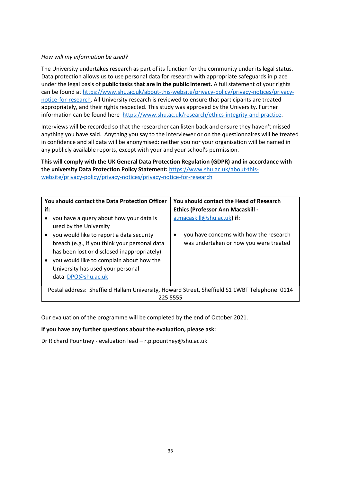#### *How will my information be used?*

The University undertakes research as part of its function for the community under its legal status. Data protection allows us to use personal data for research with appropriate safeguards in place under the legal basis of **public tasks that are in the public interest.** A full statement of your rights can be found at [https://www.shu.ac.uk/about-this-website/privacy-policy/privacy-notices/privacy](https://www.shu.ac.uk/about-this-website/privacy-policy/privacy-notices/privacy-notice-for-research)[notice-for-research.](https://www.shu.ac.uk/about-this-website/privacy-policy/privacy-notices/privacy-notice-for-research) All University research is reviewed to ensure that participants are treated appropriately, and their rights respected. This study was approved by the University. Further information can be found here [https://www.shu.ac.uk/research/ethics-integrity-and-practice.](https://www.shu.ac.uk/research/ethics-integrity-and-practice)

Interviews will be recorded so that the researcher can listen back and ensure they haven't missed anything you have said. Anything you say to the interviewer or on the questionnaires will be treated in confidence and all data will be anonymised: neither you nor your organisation will be named in any publicly available reports, except with your and your school's permission.

**This will comply with the UK General Data Protection Regulation (GDPR) and in accordance with the university Data Protection Policy Statement:** [https://www.shu.ac.uk/about-this](https://www.shu.ac.uk/about-this-website/privacy-policy/privacy-notices/privacy-notice-for-research)[website/privacy-policy/privacy-notices/privacy-notice-for-research](https://www.shu.ac.uk/about-this-website/privacy-policy/privacy-notices/privacy-notice-for-research)

| You should contact the Data Protection Officer<br>if:<br>you have a query about how your data is<br>used by the University<br>you would like to report a data security<br>٠<br>breach (e.g., if you think your personal data<br>has been lost or disclosed inappropriately) | You should contact the Head of Research<br><b>Ethics (Professor Ann Macaskill -</b><br>a.macaskill@shu.ac.uk) if:<br>you have concerns with how the research<br>was undertaken or how you were treated |  |  |  |
|-----------------------------------------------------------------------------------------------------------------------------------------------------------------------------------------------------------------------------------------------------------------------------|--------------------------------------------------------------------------------------------------------------------------------------------------------------------------------------------------------|--|--|--|
| you would like to complain about how the<br>University has used your personal<br>data DPO@shu.ac.uk                                                                                                                                                                         |                                                                                                                                                                                                        |  |  |  |
| Postal address: Sheffield Hallam University, Howard Street, Sheffield S1 1WBT Telephone: 0114<br>225 5555                                                                                                                                                                   |                                                                                                                                                                                                        |  |  |  |

Our evaluation of the programme will be completed by the end of October 2021.

#### **If you have any further questions about the evaluation, please ask:**

Dr Richard Pountney - evaluation lead – r.p.pountney@shu.ac.uk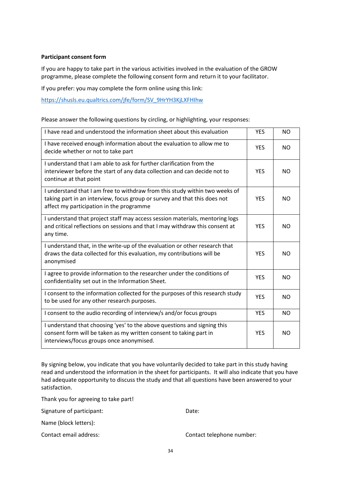#### **Participant consent form**

If you are happy to take part in the various activities involved in the evaluation of the GROW programme, please complete the following consent form and return it to your facilitator.

If you prefer: you may complete the form online using this link:

[https://shusls.eu.qualtrics.com/jfe/form/SV\\_9HrYH3KjLXFHIhw](https://shusls.eu.qualtrics.com/jfe/form/SV_9HrYH3KjLXFHIhw)

Please answer the following questions by circling, or highlighting, your responses:

| I have read and understood the information sheet about this evaluation                                                                                                                               | <b>YES</b> | <b>NO</b>      |
|------------------------------------------------------------------------------------------------------------------------------------------------------------------------------------------------------|------------|----------------|
| I have received enough information about the evaluation to allow me to<br>decide whether or not to take part                                                                                         | <b>YES</b> | NO.            |
| Lunderstand that Lam able to ask for further clarification from the<br>interviewer before the start of any data collection and can decide not to<br>continue at that point                           | <b>YES</b> | NO.            |
| I understand that I am free to withdraw from this study within two weeks of<br>taking part in an interview, focus group or survey and that this does not<br>affect my participation in the programme | <b>YES</b> | NO.            |
| I understand that project staff may access session materials, mentoring logs<br>and critical reflections on sessions and that I may withdraw this consent at<br>any time.                            | <b>YES</b> | NO.            |
| I understand that, in the write-up of the evaluation or other research that<br>draws the data collected for this evaluation, my contributions will be<br>anonymised                                  | <b>YES</b> | NO.            |
| I agree to provide information to the researcher under the conditions of<br>confidentiality set out in the Information Sheet.                                                                        | <b>YES</b> | <b>NO</b>      |
| I consent to the information collected for the purposes of this research study<br>to be used for any other research purposes.                                                                        | <b>YES</b> | <b>NO</b>      |
| I consent to the audio recording of interview/s and/or focus groups                                                                                                                                  | <b>YES</b> | <b>NO</b>      |
| I understand that choosing 'yes' to the above questions and signing this<br>consent form will be taken as my written consent to taking part in<br>interviews/focus groups once anonymised.           | <b>YES</b> | N <sub>O</sub> |

By signing below, you indicate that you have voluntarily decided to take part in this study having read and understood the information in the sheet for participants. It will also indicate that you have had adequate opportunity to discuss the study and that all questions have been answered to your satisfaction.

Thank you for agreeing to take part!

Signature of participant: Date:

Name (block letters):

Contact email address: Contact telephone number: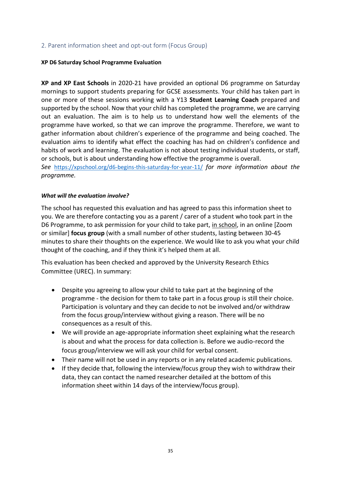#### <span id="page-34-0"></span>2. Parent information sheet and opt-out form (Focus Group)

#### **XP D6 Saturday School Programme Evaluation**

**XP and XP East Schools** in 2020-21 have provided an optional D6 programme on Saturday mornings to support students preparing for GCSE assessments. Your child has taken part in one or more of these sessions working with a Y13 **Student Learning Coach** prepared and supported by the school. Now that your child has completed the programme, we are carrying out an evaluation. The aim is to help us to understand how well the elements of the programme have worked, so that we can improve the programme. Therefore, we want to gather information about children's experience of the programme and being coached. The evaluation aims to identify what effect the coaching has had on children's confidence and habits of work and learning. The evaluation is not about testing individual students, or staff, or schools, but is about understanding how effective the programme is overall. *See* <https://xpschool.org/d6-begins-this-saturday-for-year-11/> *for more information about the programme.*

#### *What will the evaluation involve?*

The school has requested this evaluation and has agreed to pass this information sheet to you. We are therefore contacting you as a parent / carer of a student who took part in the D6 Programme, to ask permission for your child to take part, in school, in an online [Zoom or similar] **focus group** (with a small number of other students, lasting between 30-45 minutes to share their thoughts on the experience. We would like to ask you what your child thought of the coaching, and if they think it's helped them at all.

This evaluation has been checked and approved by the University Research Ethics Committee (UREC). In summary:

- Despite you agreeing to allow your child to take part at the beginning of the programme - the decision for them to take part in a focus group is still their choice. Participation is voluntary and they can decide to not be involved and/or withdraw from the focus group/interview without giving a reason. There will be no consequences as a result of this.
- We will provide an age-appropriate information sheet explaining what the research is about and what the process for data collection is. Before we audio-record the focus group/interview we will ask your child for verbal consent.
- Their name will not be used in any reports or in any related academic publications.
- If they decide that, following the interview/focus group they wish to withdraw their data, they can contact the named researcher detailed at the bottom of this information sheet within 14 days of the interview/focus group).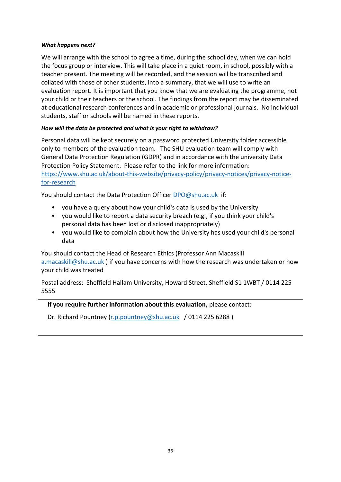#### *What happens next?*

We will arrange with the school to agree a time, during the school day, when we can hold the focus group or interview. This will take place in a quiet room, in school, possibly with a teacher present. The meeting will be recorded, and the session will be transcribed and collated with those of other students, into a summary, that we will use to write an evaluation report. It is important that you know that we are evaluating the programme, not your child or their teachers or the school. The findings from the report may be disseminated at educational research conferences and in academic or professional journals. No individual students, staff or schools will be named in these reports.

#### *How will the data be protected and what is your right to withdraw?*

Personal data will be kept securely on a password protected University folder accessible only to members of the evaluation team. The SHU evaluation team will comply with General Data Protection Regulation (GDPR) and in accordance with the university Data Protection Policy Statement. Please refer to the link for more information: [https://www.shu.ac.uk/about-this-website/privacy-policy/privacy-notices/privacy-notice](https://www.shu.ac.uk/about-this-website/privacy-policy/privacy-notices/privacy-notice-for-research)[for-research](https://www.shu.ac.uk/about-this-website/privacy-policy/privacy-notices/privacy-notice-for-research)

You should contact the Data Protection Officer [DPO@shu.ac.uk](mailto:DPO@shu.ac.uk) if:

- you have a query about how your child's data is used by the University
- you would like to report a data security breach (e.g., if you think your child's personal data has been lost or disclosed inappropriately)
- you would like to complain about how the University has used your child's personal data

You should contact the Head of Research Ethics (Professor Ann Macaskill [a.macaskill@shu.ac.uk](mailto:a.macaskill@shu.ac.uk) ) if you have concerns with how the research was undertaken or how your child was treated

Postal address: Sheffield Hallam University, Howard Street, Sheffield S1 1WBT / 0114 225 5555

 **If you require further information about this evaluation,** please contact:

Dr. Richard Pountney [\(r.p.pountney@shu.ac.uk](mailto:r.p.pountney@shu.ac.uk) / 0114 225 6288)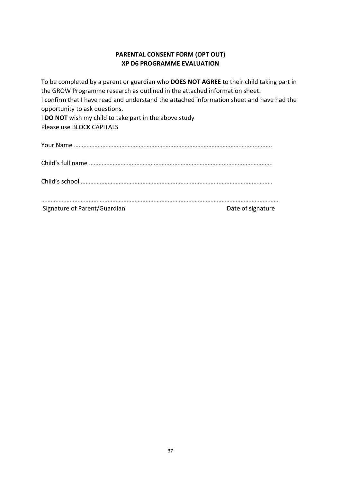#### **PARENTAL CONSENT FORM (OPT OUT) XP D6 PROGRAMME EVALUATION**

To be completed by a parent or guardian who **DOES NOT AGREE** to their child taking part in the GROW Programme research as outlined in the attached information sheet. I confirm that I have read and understand the attached information sheet and have had the opportunity to ask questions. I **DO NOT** wish my child to take part in the above study Please use BLOCK CAPITALS Your Name …………………………………………………………………………………………………….……….

Child's full name ………………………………………………………………………….………………………….

Child's school …………………………………………………………………………….……………………………

| Signature of Parent/Guardian | Date of signature |
|------------------------------|-------------------|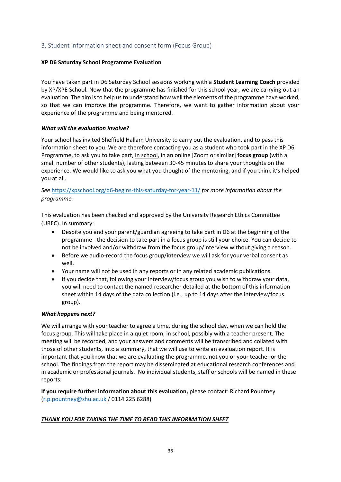#### <span id="page-37-0"></span>3. Student information sheet and consent form (Focus Group)

#### **XP D6 Saturday School Programme Evaluation**

You have taken part in D6 Saturday School sessions working with a **Student Learning Coach** provided by XP/XPE School. Now that the programme has finished for this school year, we are carrying out an evaluation. The aim is to help us to understand how well the elements of the programme have worked, so that we can improve the programme. Therefore, we want to gather information about your experience of the programme and being mentored.

#### *What will the evaluation involve?*

Your school has invited Sheffield Hallam University to carry out the evaluation, and to pass this information sheet to you. We are therefore contacting you as a student who took part in the XP D6 Programme, to ask you to take part, in school, in an online [Zoom or similar] **focus group** (with a small number of other students), lasting between 30-45 minutes to share your thoughts on the experience. We would like to ask you what you thought of the mentoring, and if you think it's helped you at all.

*See* <https://xpschool.org/d6-begins-this-saturday-for-year-11/> *for more information about the programme.*

This evaluation has been checked and approved by the University Research Ethics Committee (UREC). In summary:

- Despite you and your parent/guardian agreeing to take part in D6 at the beginning of the programme - the decision to take part in a focus group is still your choice. You can decide to not be involved and/or withdraw from the focus group/interview without giving a reason.
- Before we audio-record the focus group/interview we will ask for your verbal consent as well.
- Your name will not be used in any reports or in any related academic publications.
- If you decide that, following your interview/focus group you wish to withdraw your data, you will need to contact the named researcher detailed at the bottom of this information sheet within 14 days of the data collection (i.e., up to 14 days after the interview/focus group).

#### *What happens next?*

We will arrange with your teacher to agree a time, during the school day, when we can hold the focus group. This will take place in a quiet room, in school, possibly with a teacher present. The meeting will be recorded, and your answers and comments will be transcribed and collated with those of other students, into a summary, that we will use to write an evaluation report. It is important that you know that we are evaluating the programme, not you or your teacher or the school. The findings from the report may be disseminated at educational research conferences and in academic or professional journals. No individual students, staff or schools will be named in these reports.

**If you require further information about this evaluation,** please contact: Richard Pountney [\(r.p.pountney@shu.ac.uk](mailto:r.p.pountney@shu.ac.uk) / 0114 225 6288)

#### *THANK YOU FOR TAKING THE TIME TO READ THIS INFORMATION SHEET*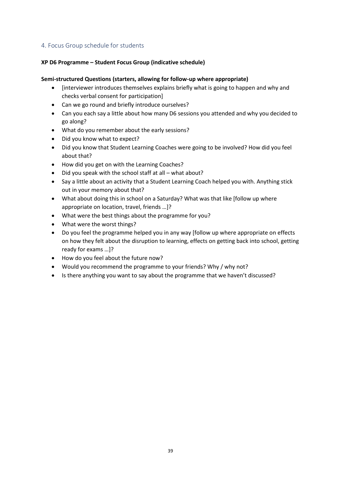#### <span id="page-38-0"></span>4. Focus Group schedule for students

#### **XP D6 Programme – Student Focus Group (indicative schedule)**

#### **Semi-structured Questions (starters, allowing for follow-up where appropriate)**

- [interviewer introduces themselves explains briefly what is going to happen and why and checks verbal consent for participation]
- Can we go round and briefly introduce ourselves?
- Can you each say a little about how many D6 sessions you attended and why you decided to go along?
- What do you remember about the early sessions?
- Did you know what to expect?
- Did you know that Student Learning Coaches were going to be involved? How did you feel about that?
- How did you get on with the Learning Coaches?
- Did you speak with the school staff at all what about?
- Say a little about an activity that a Student Learning Coach helped you with. Anything stick out in your memory about that?
- What about doing this in school on a Saturday? What was that like [follow up where appropriate on location, travel, friends …]?
- What were the best things about the programme for you?
- What were the worst things?
- Do you feel the programme helped you in any way [follow up where appropriate on effects on how they felt about the disruption to learning, effects on getting back into school, getting ready for exams …]?
- How do you feel about the future now?
- Would you recommend the programme to your friends? Why / why not?
- Is there anything you want to say about the programme that we haven't discussed?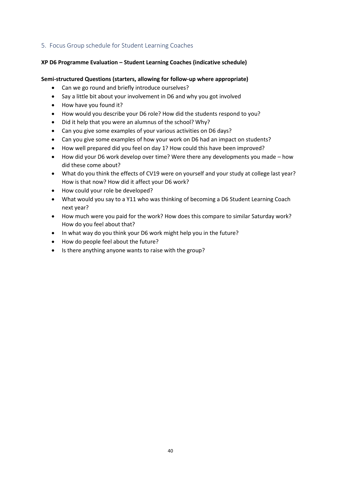#### <span id="page-39-0"></span>5. Focus Group schedule for Student Learning Coaches

#### **XP D6 Programme Evaluation – Student Learning Coaches (indicative schedule)**

#### **Semi-structured Questions (starters, allowing for follow-up where appropriate)**

- Can we go round and briefly introduce ourselves?
- Say a little bit about your involvement in D6 and why you got involved
- How have you found it?
- How would you describe your D6 role? How did the students respond to you?
- Did it help that you were an alumnus of the school? Why?
- Can you give some examples of your various activities on D6 days?
- Can you give some examples of how your work on D6 had an impact on students?
- How well prepared did you feel on day 1? How could this have been improved?
- How did your D6 work develop over time? Were there any developments you made how did these come about?
- What do you think the effects of CV19 were on yourself and your study at college last year? How is that now? How did it affect your D6 work?
- How could your role be developed?
- What would you say to a Y11 who was thinking of becoming a D6 Student Learning Coach next year?
- How much were you paid for the work? How does this compare to similar Saturday work? How do you feel about that?
- In what way do you think your D6 work might help you in the future?
- How do people feel about the future?
- Is there anything anyone wants to raise with the group?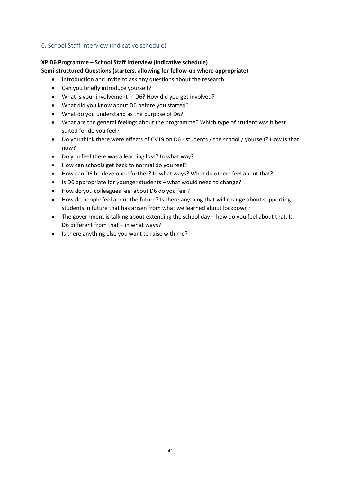#### <span id="page-40-0"></span>6. School Staff Interview (indicative schedule)

## **XP D6 Programme – School Staff Interview (indicative schedule)**

#### **Semi-structured Questions (starters, allowing for follow-up where appropriate)**

- Introduction and invite to ask any questions about the research
- Can you briefly introduce yourself?
- What is your involvement in D6? How did you get involved?
- What did you know about D6 before you started?
- What do you understand as the purpose of D6?
- What are the general feelings about the programme? Which type of student was it best suited for do you feel?
- Do you think there were effects of CV19 on D6 students / the school / yourself? How is that now?
- Do you feel there was a learning loss? In what way?
- How can schools get back to normal do you feel?
- How can D6 be developed further? In what ways? What do others feel about that?
- Is D6 appropriate for younger students what would need to change?
- How do you colleagues feel about D6 do you feel?
- How do people feel about the future? Is there anything that will change about supporting students in future that has arisen from what we learned about lockdown?
- The government is talking about extending the school day how do you feel about that. Is D6 different from that – in what ways?
- Is there anything else you want to raise with me?